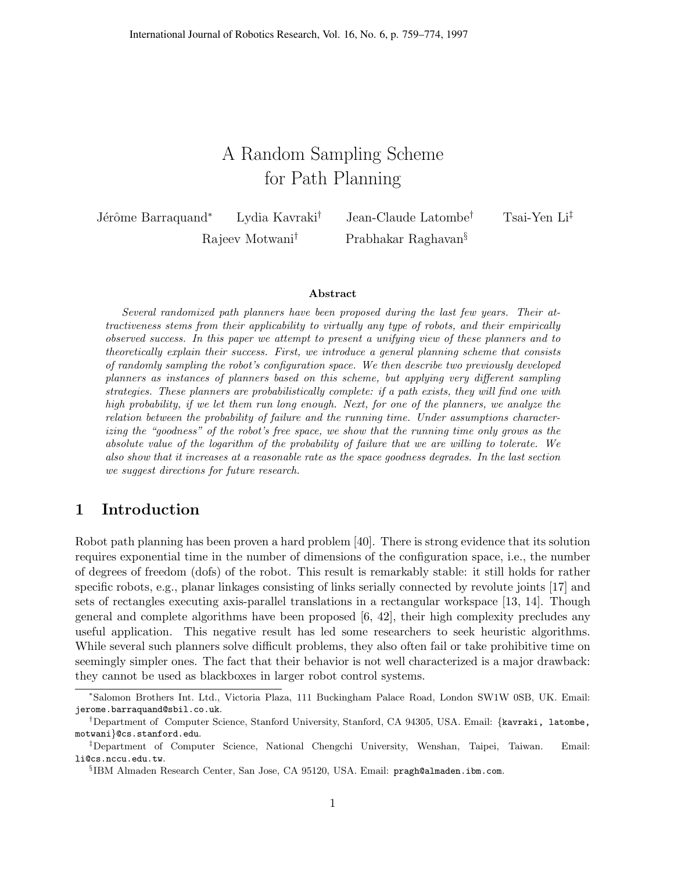## A Random Sampling Scheme for Path Planning

Jérôme Barraquand<sup>∗</sup> Lydia Kavraki<sup>†</sup> Jean-Claude Latombe<sup>†</sup> Tsai-Yen Li<sup>‡</sup>

Rajeev Motwani† Prabhakar Raghavan§

#### Abstract

Several randomized path planners have been proposed during the last few years. Their attractiveness stems from their applicability to virtually any type of robots, and their empirically observed success. In this paper we attempt to present a unifying view of these planners and to theoretically explain their success. First, we introduce a general planning scheme that consists of randomly sampling the robot's configuration space. We then describe two previously developed planners as instances of planners based on this scheme, but applying very different sampling strategies. These planners are probabilistically complete: if a path exists, they will find one with high probability, if we let them run long enough. Next, for one of the planners, we analyze the relation between the probability of failure and the running time. Under assumptions characterizing the "goodness" of the robot's free space, we show that the running time only grows as the absolute value of the logarithm of the probability of failure that we are willing to tolerate. We also show that it increases at a reasonable rate as the space goodness degrades. In the last section we suggest directions for future research.

## 1 Introduction

Robot path planning has been proven a hard problem [40]. There is strong evidence that its solution requires exponential time in the number of dimensions of the configuration space, i.e., the number of degrees of freedom (dofs) of the robot. This result is remarkably stable: it still holds for rather specific robots, e.g., planar linkages consisting of links serially connected by revolute joints [17] and sets of rectangles executing axis-parallel translations in a rectangular workspace [13, 14]. Though general and complete algorithms have been proposed [6, 42], their high complexity precludes any useful application. This negative result has led some researchers to seek heuristic algorithms. While several such planners solve difficult problems, they also often fail or take prohibitive time on seemingly simpler ones. The fact that their behavior is not well characterized is a major drawback: they cannot be used as blackboxes in larger robot control systems.

<sup>∗</sup> Salomon Brothers Int. Ltd., Victoria Plaza, 111 Buckingham Palace Road, London SW1W 0SB, UK. Email: jerome.barraquand@sbil.co.uk.

<sup>†</sup>Department of Computer Science, Stanford University, Stanford, CA 94305, USA. Email: {kavraki, latombe, motwani}@cs.stanford.edu.

<sup>‡</sup>Department of Computer Science, National Chengchi University, Wenshan, Taipei, Taiwan. Email: li@cs.nccu.edu.tw.

<sup>§</sup> IBM Almaden Research Center, San Jose, CA 95120, USA. Email: pragh@almaden.ibm.com.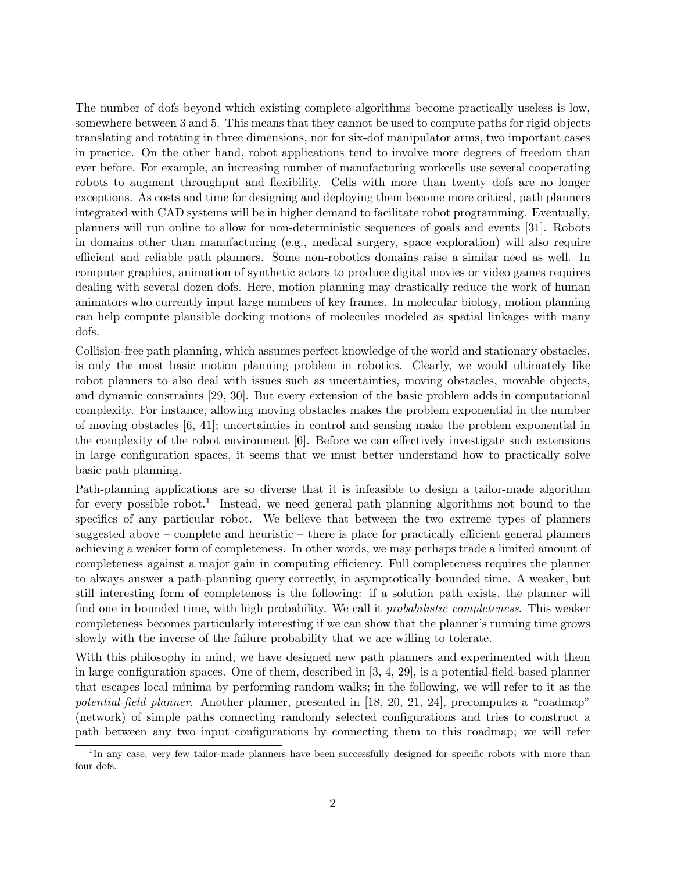The number of dofs beyond which existing complete algorithms become practically useless is low, somewhere between 3 and 5. This means that they cannot be used to compute paths for rigid objects translating and rotating in three dimensions, nor for six-dof manipulator arms, two important cases in practice. On the other hand, robot applications tend to involve more degrees of freedom than ever before. For example, an increasing number of manufacturing workcells use several cooperating robots to augment throughput and flexibility. Cells with more than twenty dofs are no longer exceptions. As costs and time for designing and deploying them become more critical, path planners integrated with CAD systems will be in higher demand to facilitate robot programming. Eventually, planners will run online to allow for non-deterministic sequences of goals and events [31]. Robots in domains other than manufacturing (e.g., medical surgery, space exploration) will also require efficient and reliable path planners. Some non-robotics domains raise a similar need as well. In computer graphics, animation of synthetic actors to produce digital movies or video games requires dealing with several dozen dofs. Here, motion planning may drastically reduce the work of human animators who currently input large numbers of key frames. In molecular biology, motion planning can help compute plausible docking motions of molecules modeled as spatial linkages with many dofs.

Collision-free path planning, which assumes perfect knowledge of the world and stationary obstacles, is only the most basic motion planning problem in robotics. Clearly, we would ultimately like robot planners to also deal with issues such as uncertainties, moving obstacles, movable objects, and dynamic constraints [29, 30]. But every extension of the basic problem adds in computational complexity. For instance, allowing moving obstacles makes the problem exponential in the number of moving obstacles [6, 41]; uncertainties in control and sensing make the problem exponential in the complexity of the robot environment [6]. Before we can effectively investigate such extensions in large configuration spaces, it seems that we must better understand how to practically solve basic path planning.

Path-planning applications are so diverse that it is infeasible to design a tailor-made algorithm for every possible robot.<sup>1</sup> Instead, we need general path planning algorithms not bound to the specifics of any particular robot. We believe that between the two extreme types of planners suggested above – complete and heuristic – there is place for practically efficient general planners achieving a weaker form of completeness. In other words, we may perhaps trade a limited amount of completeness against a major gain in computing efficiency. Full completeness requires the planner to always answer a path-planning query correctly, in asymptotically bounded time. A weaker, but still interesting form of completeness is the following: if a solution path exists, the planner will find one in bounded time, with high probability. We call it *probabilistic completeness*. This weaker completeness becomes particularly interesting if we can show that the planner's running time grows slowly with the inverse of the failure probability that we are willing to tolerate.

With this philosophy in mind, we have designed new path planners and experimented with them in large configuration spaces. One of them, described in [3, 4, 29], is a potential-field-based planner that escapes local minima by performing random walks; in the following, we will refer to it as the potential-field planner. Another planner, presented in [18, 20, 21, 24], precomputes a "roadmap" (network) of simple paths connecting randomly selected configurations and tries to construct a path between any two input configurations by connecting them to this roadmap; we will refer

<sup>&</sup>lt;sup>1</sup>In any case, very few tailor-made planners have been successfully designed for specific robots with more than four dofs.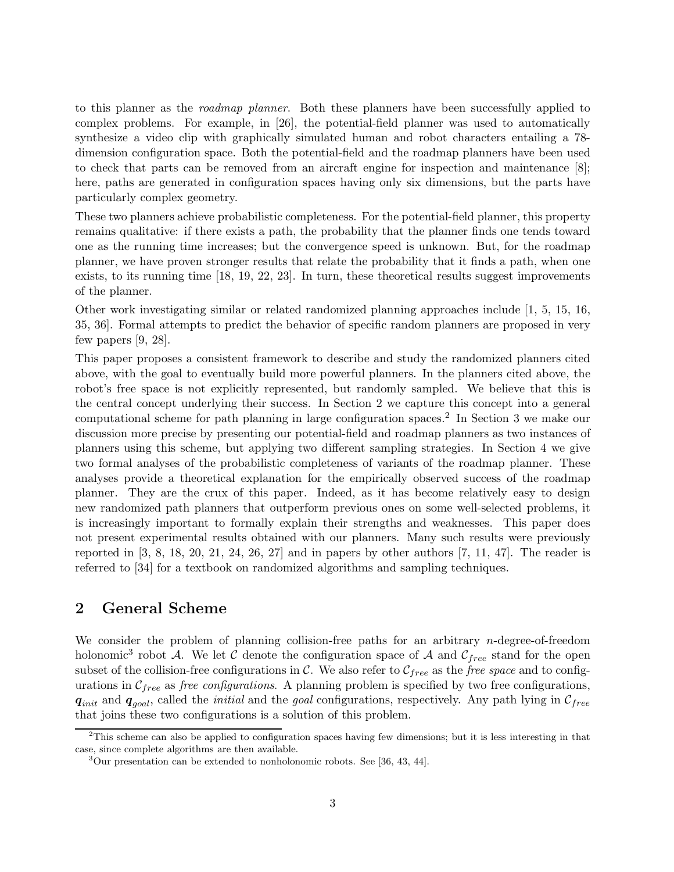to this planner as the *roadmap planner*. Both these planners have been successfully applied to complex problems. For example, in [26], the potential-field planner was used to automatically synthesize a video clip with graphically simulated human and robot characters entailing a 78 dimension configuration space. Both the potential-field and the roadmap planners have been used to check that parts can be removed from an aircraft engine for inspection and maintenance [8]; here, paths are generated in configuration spaces having only six dimensions, but the parts have particularly complex geometry.

These two planners achieve probabilistic completeness. For the potential-field planner, this property remains qualitative: if there exists a path, the probability that the planner finds one tends toward one as the running time increases; but the convergence speed is unknown. But, for the roadmap planner, we have proven stronger results that relate the probability that it finds a path, when one exists, to its running time [18, 19, 22, 23]. In turn, these theoretical results suggest improvements of the planner.

Other work investigating similar or related randomized planning approaches include [1, 5, 15, 16, 35, 36]. Formal attempts to predict the behavior of specific random planners are proposed in very few papers [9, 28].

This paper proposes a consistent framework to describe and study the randomized planners cited above, with the goal to eventually build more powerful planners. In the planners cited above, the robot's free space is not explicitly represented, but randomly sampled. We believe that this is the central concept underlying their success. In Section 2 we capture this concept into a general computational scheme for path planning in large configuration spaces.<sup>2</sup> In Section 3 we make our discussion more precise by presenting our potential-field and roadmap planners as two instances of planners using this scheme, but applying two different sampling strategies. In Section 4 we give two formal analyses of the probabilistic completeness of variants of the roadmap planner. These analyses provide a theoretical explanation for the empirically observed success of the roadmap planner. They are the crux of this paper. Indeed, as it has become relatively easy to design new randomized path planners that outperform previous ones on some well-selected problems, it is increasingly important to formally explain their strengths and weaknesses. This paper does not present experimental results obtained with our planners. Many such results were previously reported in  $[3, 8, 18, 20, 21, 24, 26, 27]$  and in papers by other authors  $[7, 11, 47]$ . The reader is referred to [34] for a textbook on randomized algorithms and sampling techniques.

## 2 General Scheme

We consider the problem of planning collision-free paths for an arbitrary *n*-degree-of-freedom holonomic<sup>3</sup> robot A. We let C denote the configuration space of A and  $\mathcal{C}_{free}$  stand for the open subset of the collision-free configurations in C. We also refer to  $\mathcal{C}_{free}$  as the *free space* and to configurations in  $C_{free}$  as *free configurations*. A planning problem is specified by two free configurations,  $q_{init}$  and  $q_{goal}$ , called the *initial* and the *goal* configurations, respectively. Any path lying in  $C_{free}$ that joins these two configurations is a solution of this problem.

<sup>2</sup>This scheme can also be applied to configuration spaces having few dimensions; but it is less interesting in that case, since complete algorithms are then available.

<sup>&</sup>lt;sup>3</sup>Our presentation can be extended to nonholonomic robots. See [36, 43, 44].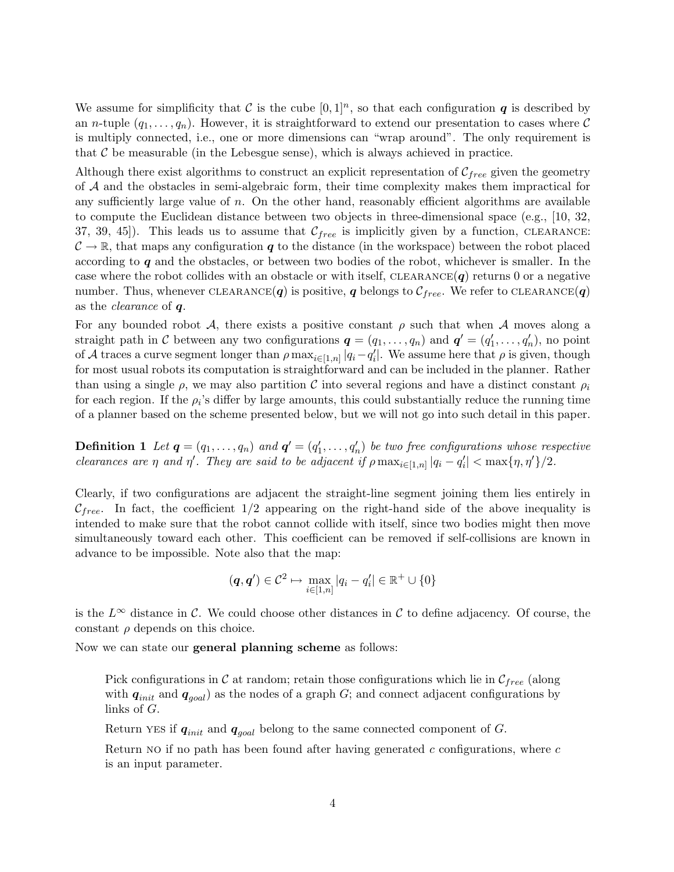We assume for simplificity that C is the cube  $[0,1]^n$ , so that each configuration q is described by an *n*-tuple  $(q_1, \ldots, q_n)$ . However, it is straightforward to extend our presentation to cases where C is multiply connected, i.e., one or more dimensions can "wrap around". The only requirement is that  $\mathcal C$  be measurable (in the Lebesgue sense), which is always achieved in practice.

Although there exist algorithms to construct an explicit representation of  $\mathcal{C}_{free}$  given the geometry of A and the obstacles in semi-algebraic form, their time complexity makes them impractical for any sufficiently large value of  $n$ . On the other hand, reasonably efficient algorithms are available to compute the Euclidean distance between two objects in three-dimensional space (e.g., [10, 32, 37, 39, 45). This leads us to assume that  $C_{free}$  is implicitly given by a function, CLEARANCE:  $\mathcal{C} \to \mathbb{R}$ , that maps any configuration q to the distance (in the workspace) between the robot placed according to  $q$  and the obstacles, or between two bodies of the robot, whichever is smaller. In the case where the robot collides with an obstacle or with itself, CLEARANCE $(q)$  returns 0 or a negative number. Thus, whenever CLEARANCE(q) is positive, q belongs to  $C_{free}$ . We refer to CLEARANCE(q) as the clearance of q.

For any bounded robot A, there exists a positive constant  $\rho$  such that when A moves along a straight path in C between any two configurations  $q = (q_1, \ldots, q_n)$  and  $q' = (q'_1, \ldots, q'_n)$ , no point of A traces a curve segment longer than  $\rho \max_{i \in [1,n]} |q_i - q'_i|$ . We assume here that  $\rho$  is given, though for most usual robots its computation is straightforward and can be included in the planner. Rather than using a single  $\rho$ , we may also partition C into several regions and have a distinct constant  $\rho_i$ for each region. If the  $\rho_i$ 's differ by large amounts, this could substantially reduce the running time of a planner based on the scheme presented below, but we will not go into such detail in this paper.

**Definition 1** Let  $q = (q_1, \ldots, q_n)$  and  $q' = (q'_1, \ldots, q'_n)$  be two free configurations whose respective clearances are  $\eta$  and  $\eta'$ . They are said to be adjacent if  $\rho \max_{i \in [1,n]} |q_i - q'_i| < \max{\{\eta, \eta'\}}/2$ .

Clearly, if two configurations are adjacent the straight-line segment joining them lies entirely in  $\mathcal{C}_{free}$ . In fact, the coefficient  $1/2$  appearing on the right-hand side of the above inequality is intended to make sure that the robot cannot collide with itself, since two bodies might then move simultaneously toward each other. This coefficient can be removed if self-collisions are known in advance to be impossible. Note also that the map:

$$
(\boldsymbol{q},\boldsymbol{q}')\in\mathcal{C}^2\mapsto\max_{i\in[1,n]}|q_i-q_i'|\in\mathbb{R}^+\cup\{0\}
$$

is the  $L^{\infty}$  distance in C. We could choose other distances in C to define adjacency. Of course, the constant  $\rho$  depends on this choice.

Now we can state our general planning scheme as follows:

Pick configurations in C at random; retain those configurations which lie in  $\mathcal{C}_{free}$  (along with  $q_{init}$  and  $q_{goal}$ ) as the nodes of a graph G; and connect adjacent configurations by links of G.

Return YES if  $q_{init}$  and  $q_{goal}$  belong to the same connected component of G.

Return NO if no path has been found after having generated  $c$  configurations, where  $c$ is an input parameter.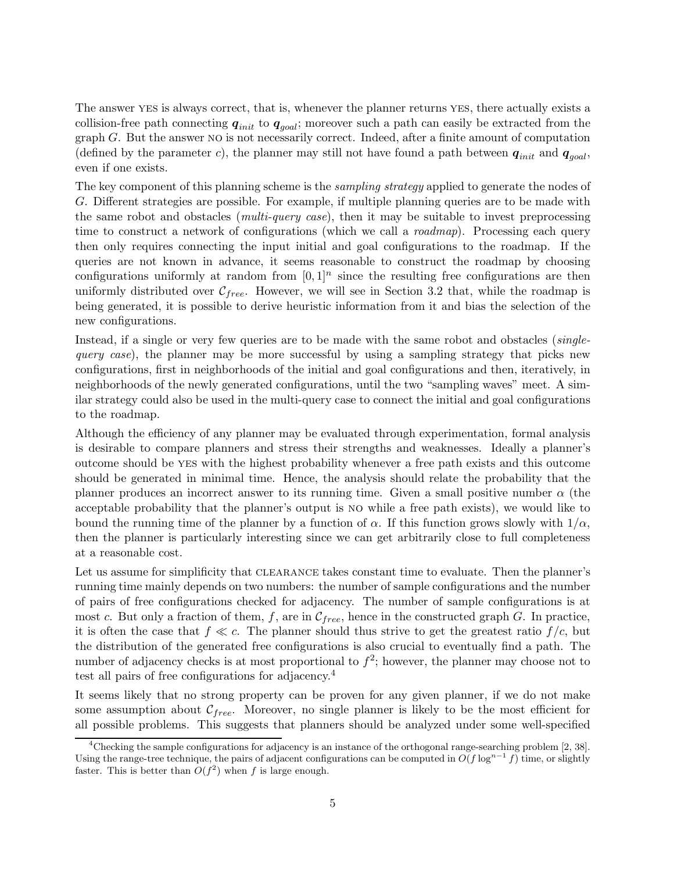The answer yes is always correct, that is, whenever the planner returns yes, there actually exists a collision-free path connecting  $q_{init}$  to  $q_{goal}$ ; moreover such a path can easily be extracted from the graph G. But the answer no is not necessarily correct. Indeed, after a finite amount of computation (defined by the parameter c), the planner may still not have found a path between  $q_{init}$  and  $q_{goal}$ , even if one exists.

The key component of this planning scheme is the *sampling strategy* applied to generate the nodes of G. Different strategies are possible. For example, if multiple planning queries are to be made with the same robot and obstacles (*multi-query case*), then it may be suitable to invest preprocessing time to construct a network of configurations (which we call a *roadmap*). Processing each query then only requires connecting the input initial and goal configurations to the roadmap. If the queries are not known in advance, it seems reasonable to construct the roadmap by choosing configurations uniformly at random from  $[0, 1]^n$  since the resulting free configurations are then uniformly distributed over  $\mathcal{C}_{free}$ . However, we will see in Section 3.2 that, while the roadmap is being generated, it is possible to derive heuristic information from it and bias the selection of the new configurations.

Instead, if a single or very few queries are to be made with the same robot and obstacles (singlequery case), the planner may be more successful by using a sampling strategy that picks new configurations, first in neighborhoods of the initial and goal configurations and then, iteratively, in neighborhoods of the newly generated configurations, until the two "sampling waves" meet. A similar strategy could also be used in the multi-query case to connect the initial and goal configurations to the roadmap.

Although the efficiency of any planner may be evaluated through experimentation, formal analysis is desirable to compare planners and stress their strengths and weaknesses. Ideally a planner's outcome should be yes with the highest probability whenever a free path exists and this outcome should be generated in minimal time. Hence, the analysis should relate the probability that the planner produces an incorrect answer to its running time. Given a small positive number  $\alpha$  (the acceptable probability that the planner's output is no while a free path exists), we would like to bound the running time of the planner by a function of  $\alpha$ . If this function grows slowly with  $1/\alpha$ , then the planner is particularly interesting since we can get arbitrarily close to full completeness at a reasonable cost.

Let us assume for simplificity that CLEARANCE takes constant time to evaluate. Then the planner's running time mainly depends on two numbers: the number of sample configurations and the number of pairs of free configurations checked for adjacency. The number of sample configurations is at most c. But only a fraction of them, f, are in  $\mathcal{C}_{free}$ , hence in the constructed graph G. In practice, it is often the case that  $f \ll c$ . The planner should thus strive to get the greatest ratio  $f/c$ , but the distribution of the generated free configurations is also crucial to eventually find a path. The number of adjacency checks is at most proportional to  $f^2$ ; however, the planner may choose not to test all pairs of free configurations for adjacency.<sup>4</sup>

It seems likely that no strong property can be proven for any given planner, if we do not make some assumption about  $\mathcal{C}_{free}$ . Moreover, no single planner is likely to be the most efficient for all possible problems. This suggests that planners should be analyzed under some well-specified

<sup>4</sup>Checking the sample configurations for adjacency is an instance of the orthogonal range-searching problem [2, 38]. Using the range-tree technique, the pairs of adjacent configurations can be computed in  $O(f \log^{n-1} f)$  time, or slightly faster. This is better than  $O(f^2)$  when f is large enough.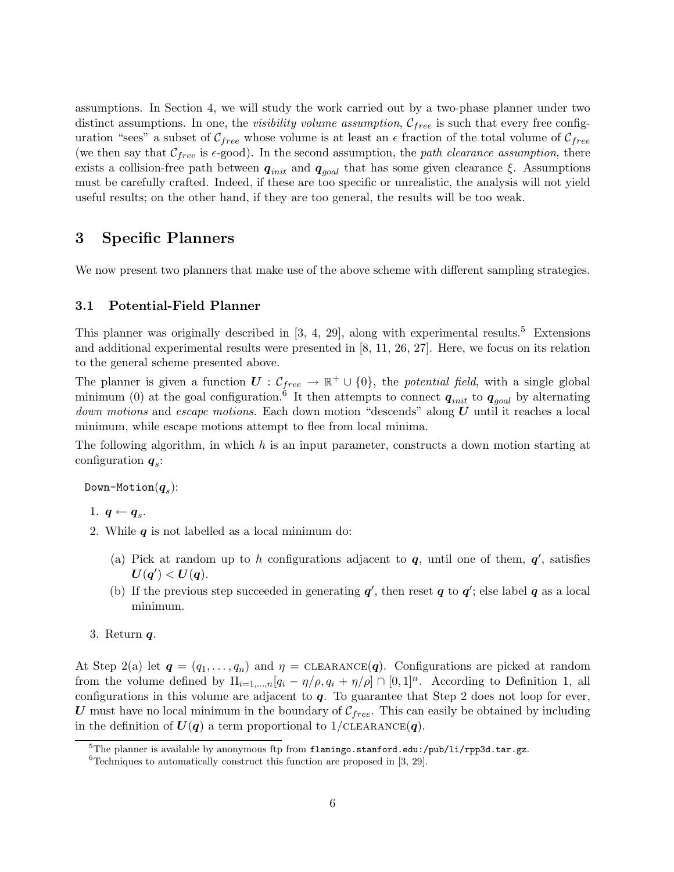assumptions. In Section 4, we will study the work carried out by a two-phase planner under two distinct assumptions. In one, the *visibility volume assumption*,  $C_{free}$  is such that every free configuration "sees" a subset of  $\mathcal{C}_{free}$  whose volume is at least an  $\epsilon$  fraction of the total volume of  $\mathcal{C}_{free}$ (we then say that  $\mathcal{C}_{free}$  is  $\epsilon$ -good). In the second assumption, the path clearance assumption, there exists a collision-free path between  $q_{init}$  and  $q_{goal}$  that has some given clearance  $\xi$ . Assumptions must be carefully crafted. Indeed, if these are too specific or unrealistic, the analysis will not yield useful results; on the other hand, if they are too general, the results will be too weak.

## 3 Specific Planners

We now present two planners that make use of the above scheme with different sampling strategies.

#### 3.1 Potential-Field Planner

This planner was originally described in  $[3, 4, 29]$ , along with experimental results.<sup>5</sup> Extensions and additional experimental results were presented in [8, 11, 26, 27]. Here, we focus on its relation to the general scheme presented above.

The planner is given a function  $U: \mathcal{C}_{free} \to \mathbb{R}^+ \cup \{0\}$ , the potential field, with a single global minimum (0) at the goal configuration.<sup>6</sup> It then attempts to connect  $q_{init}$  to  $q_{goal}$  by alternating *down motions* and *escape motions*. Each down motion "descends" along  $U$  until it reaches a local minimum, while escape motions attempt to flee from local minima.

The following algorithm, in which  $h$  is an input parameter, constructs a down motion starting at configuration  $q_s$ :

Down-Motion $(\boldsymbol{q}_s)$ :

- 1.  $q \leftarrow q_s$ .
- 2. While  $q$  is not labelled as a local minimum do:
	- (a) Pick at random up to h configurations adjacent to  $q$ , until one of them,  $q'$ , satisfies  $U(q') < U(q)$ .
	- (b) If the previous step succeeded in generating  $q'$ , then reset q to  $q'$ ; else label q as a local minimum.
- 3. Return  $q$ .

At Step 2(a) let  $q = (q_1, \ldots, q_n)$  and  $\eta = \text{CLEARANCE}(q)$ . Configurations are picked at random from the volume defined by  $\Pi_{i=1,\dots,n}[q_i-\eta/\rho,q_i+\eta/\rho] \cap [0,1]^n$ . According to Definition 1, all configurations in this volume are adjacent to  $q$ . To guarantee that Step 2 does not loop for ever, U must have no local minimum in the boundary of  $C_{free}$ . This can easily be obtained by including in the definition of  $U(q)$  a term proportional to 1/CLEARANCE $(q)$ .

 $5$ The planner is available by anonymous ftp from flamingo.stanford.edu:/pub/li/rpp3d.tar.gz.

 ${}^{6}$ Techniques to automatically construct this function are proposed in [3, 29].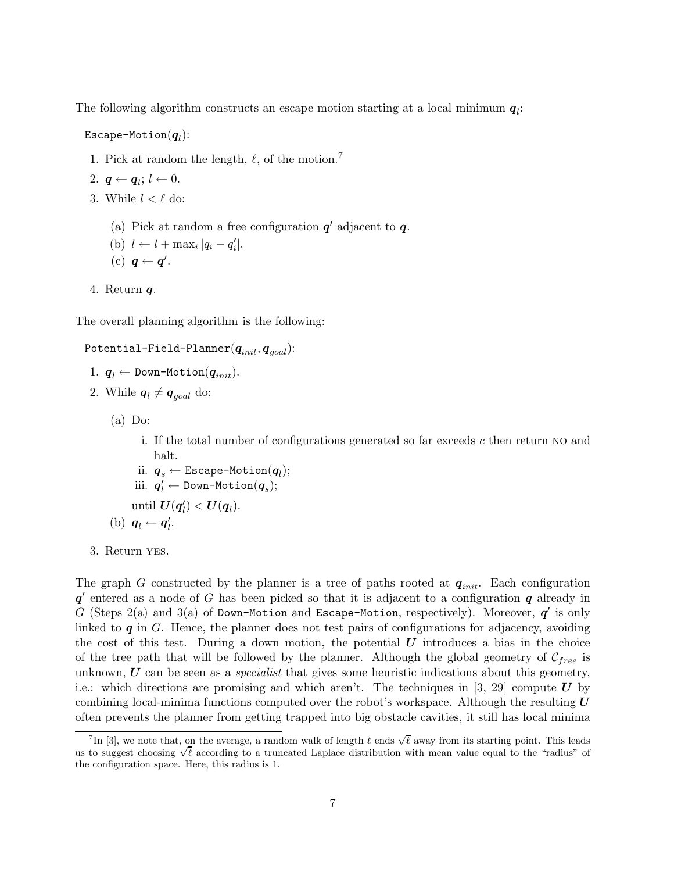The following algorithm constructs an escape motion starting at a local minimum  $q_i$ :

 $\mathtt{Escape-Motion}({\boldsymbol{q}}_l)$ :

1. Pick at random the length,  $\ell$ , of the motion.<sup>7</sup>

2. 
$$
q \leftarrow q_l; l \leftarrow 0.
$$

- 3. While  $l < \ell$  do:
	- (a) Pick at random a free configuration  $q'$  adjacent to  $q$ .
	- (b)  $l \leftarrow l + \max_i |q_i q'_i|.$
	- (c)  $q \leftarrow q'$ .
- 4. Return  $q$ .

The overall planning algorithm is the following:

## ${\tt Potential-Field-Planner}({\boldsymbol{q}}_{init}, {\boldsymbol{q}}_{goal}) {\bf :}$

- 1.  $q_l \leftarrow$  Down-Motion $(q_{init})$ .
- 2. While  $q_l \neq q_{goal}$  do:
	- $(a)$  Do:
		- i. If the total number of configurations generated so far exceeds  $c$  then return NO and halt.
		- ii.  $\boldsymbol{q}_s \leftarrow \texttt{Escape-Motion}(\boldsymbol{q}_l);$
		- iii.  $\boldsymbol{q}'_l \leftarrow \texttt{Down-Motion}(\boldsymbol{q}_s);$
		- until  $U(q_l') < U(q_l)$ .
	- (b)  $q_l \leftarrow q'_l$ .
- 3. Return yes.

The graph G constructed by the planner is a tree of paths rooted at  $q_{init}$ . Each configuration  $q'$  entered as a node of G has been picked so that it is adjacent to a configuration  $q$  already in G (Steps 2(a) and 3(a) of Down-Motion and Escape-Motion, respectively). Moreover,  $q'$  is only linked to  $q$  in  $G$ . Hence, the planner does not test pairs of configurations for adjacency, avoiding the cost of this test. During a down motion, the potential  $\boldsymbol{U}$  introduces a bias in the choice of the tree path that will be followed by the planner. Although the global geometry of  $\mathcal{C}_{free}$  is unknown,  $\boldsymbol{U}$  can be seen as a *specialist* that gives some heuristic indications about this geometry, i.e.: which directions are promising and which aren't. The techniques in  $[3, 29]$  compute U by combining local-minima functions computed over the robot's workspace. Although the resulting  $U$ often prevents the planner from getting trapped into big obstacle cavities, it still has local minima

<sup>&</sup>lt;sup>7</sup>In [3], we note that, on the average, a random walk of length  $\ell$  ends  $\sqrt{\ell}$  away from its starting point. This leads us to suggest choosing  $\sqrt{\ell}$  according to a truncated Laplace distribution with mean value equal to the "radius" of the configuration space. Here, this radius is 1.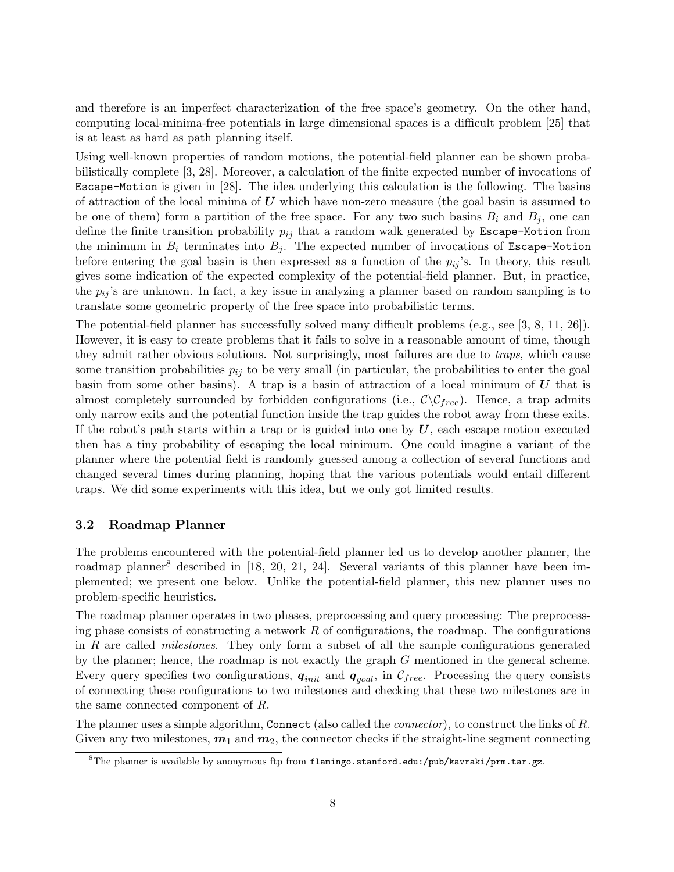and therefore is an imperfect characterization of the free space's geometry. On the other hand, computing local-minima-free potentials in large dimensional spaces is a difficult problem [25] that is at least as hard as path planning itself.

Using well-known properties of random motions, the potential-field planner can be shown probabilistically complete [3, 28]. Moreover, a calculation of the finite expected number of invocations of Escape-Motion is given in [28]. The idea underlying this calculation is the following. The basins of attraction of the local minima of  $U$  which have non-zero measure (the goal basin is assumed to be one of them) form a partition of the free space. For any two such basins  $B_i$  and  $B_j$ , one can define the finite transition probability  $p_{ij}$  that a random walk generated by Escape-Motion from the minimum in  $B_i$  terminates into  $B_j$ . The expected number of invocations of Escape-Motion before entering the goal basin is then expressed as a function of the  $p_{ij}$ 's. In theory, this result gives some indication of the expected complexity of the potential-field planner. But, in practice, the  $p_{ij}$ 's are unknown. In fact, a key issue in analyzing a planner based on random sampling is to translate some geometric property of the free space into probabilistic terms.

The potential-field planner has successfully solved many difficult problems (e.g., see [3, 8, 11, 26]). However, it is easy to create problems that it fails to solve in a reasonable amount of time, though they admit rather obvious solutions. Not surprisingly, most failures are due to traps, which cause some transition probabilities  $p_{ij}$  to be very small (in particular, the probabilities to enter the goal basin from some other basins). A trap is a basin of attraction of a local minimum of  $U$  that is almost completely surrounded by forbidden configurations (i.e.,  $\mathcal{C}\setminus\mathcal{C}_{free}$ ). Hence, a trap admits only narrow exits and the potential function inside the trap guides the robot away from these exits. If the robot's path starts within a trap or is guided into one by  $U$ , each escape motion executed then has a tiny probability of escaping the local minimum. One could imagine a variant of the planner where the potential field is randomly guessed among a collection of several functions and changed several times during planning, hoping that the various potentials would entail different traps. We did some experiments with this idea, but we only got limited results.

#### 3.2 Roadmap Planner

The problems encountered with the potential-field planner led us to develop another planner, the roadmap planner<sup>8</sup> described in  $[18, 20, 21, 24]$ . Several variants of this planner have been implemented; we present one below. Unlike the potential-field planner, this new planner uses no problem-specific heuristics.

The roadmap planner operates in two phases, preprocessing and query processing: The preprocessing phase consists of constructing a network  $R$  of configurations, the roadmap. The configurations in  $R$  are called *milestones*. They only form a subset of all the sample configurations generated by the planner; hence, the roadmap is not exactly the graph  $G$  mentioned in the general scheme. Every query specifies two configurations,  $q_{init}$  and  $q_{goal}$ , in  $C_{free}$ . Processing the query consists of connecting these configurations to two milestones and checking that these two milestones are in the same connected component of R.

The planner uses a simple algorithm, Connect (also called the *connector*), to construct the links of R. Given any two milestones,  $m_1$  and  $m_2$ , the connector checks if the straight-line segment connecting

 $8$ The planner is available by anonymous ftp from flamingo.stanford.edu:/pub/kavraki/prm.tar.gz.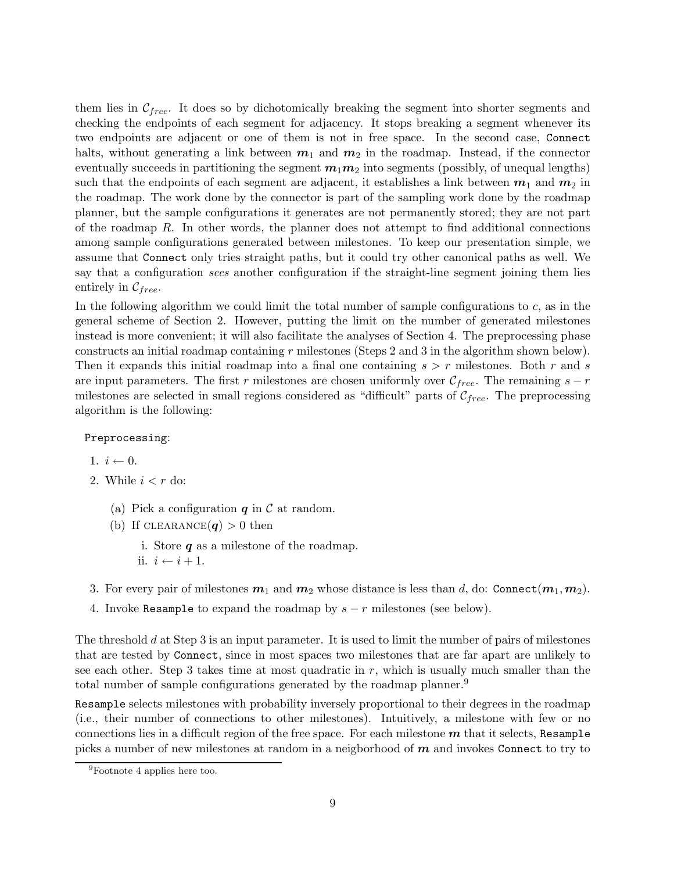them lies in  $\mathcal{C}_{free}$ . It does so by dichotomically breaking the segment into shorter segments and checking the endpoints of each segment for adjacency. It stops breaking a segment whenever its two endpoints are adjacent or one of them is not in free space. In the second case, Connect halts, without generating a link between  $m_1$  and  $m_2$  in the roadmap. Instead, if the connector eventually succeeds in partitioning the segment  $m_1m_2$  into segments (possibly, of unequal lengths) such that the endpoints of each segment are adjacent, it establishes a link between  $m_1$  and  $m_2$  in the roadmap. The work done by the connector is part of the sampling work done by the roadmap planner, but the sample configurations it generates are not permanently stored; they are not part of the roadmap R. In other words, the planner does not attempt to find additional connections among sample configurations generated between milestones. To keep our presentation simple, we assume that Connect only tries straight paths, but it could try other canonical paths as well. We say that a configuration sees another configuration if the straight-line segment joining them lies entirely in  $\mathcal{C}_{free}$ .

In the following algorithm we could limit the total number of sample configurations to  $c$ , as in the general scheme of Section 2. However, putting the limit on the number of generated milestones instead is more convenient; it will also facilitate the analyses of Section 4. The preprocessing phase constructs an initial roadmap containing r milestones (Steps 2 and 3 in the algorithm shown below). Then it expands this initial roadmap into a final one containing  $s > r$  milestones. Both r and s are input parameters. The first r milestones are chosen uniformly over  $\mathcal{C}_{free}$ . The remaining  $s - r$ milestones are selected in small regions considered as "difficult" parts of  $\mathcal{C}_{free}$ . The preprocessing algorithm is the following:

#### Preprocessing:

1.  $i \leftarrow 0$ .

- 2. While  $i < r$  do:
	- (a) Pick a configuration  $q$  in  $\mathcal C$  at random.
	- (b) If CLEARANCE $(q) > 0$  then
		- i. Store  $q$  as a milestone of the roadmap.
		- ii.  $i \leftarrow i + 1$ .
- 3. For every pair of milestones  $m_1$  and  $m_2$  whose distance is less than d, do: Connect $(m_1, m_2)$ .
- 4. Invoke Resample to expand the roadmap by  $s r$  milestones (see below).

The threshold d at Step 3 is an input parameter. It is used to limit the number of pairs of milestones that are tested by Connect, since in most spaces two milestones that are far apart are unlikely to see each other. Step 3 takes time at most quadratic in  $r$ , which is usually much smaller than the total number of sample configurations generated by the roadmap planner.<sup>9</sup>

Resample selects milestones with probability inversely proportional to their degrees in the roadmap (i.e., their number of connections to other milestones). Intuitively, a milestone with few or no connections lies in a difficult region of the free space. For each milestone  $m$  that it selects, Resample picks a number of new milestones at random in a neigborhood of  $m$  and invokes Connect to try to

<sup>9</sup>Footnote 4 applies here too.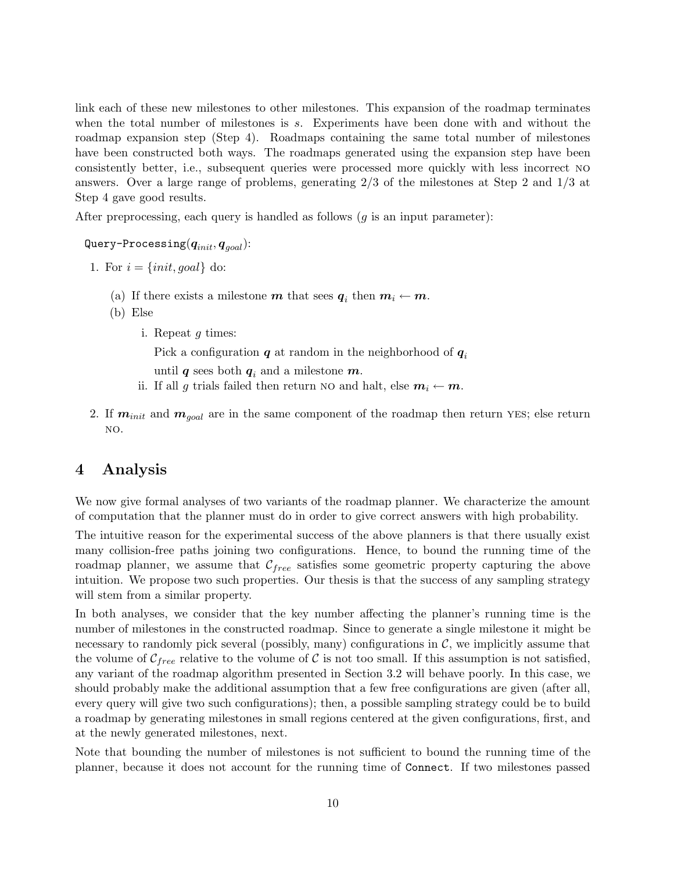link each of these new milestones to other milestones. This expansion of the roadmap terminates when the total number of milestones is s. Experiments have been done with and without the roadmap expansion step (Step 4). Roadmaps containing the same total number of milestones have been constructed both ways. The roadmaps generated using the expansion step have been consistently better, i.e., subsequent queries were processed more quickly with less incorrect no answers. Over a large range of problems, generating 2/3 of the milestones at Step 2 and 1/3 at Step 4 gave good results.

After preprocessing, each query is handled as follows  $(g$  is an input parameter):

Query-Processing $(q_{init}, q_{goal})$ :

- 1. For  $i = \{init, goal\}$  do:
	- (a) If there exists a milestone  $m$  that sees  $q_i$  then  $m_i \leftarrow m$ .
	- (b) Else
		- i. Repeat g times:

Pick a configuration  $q$  at random in the neighborhood of  $q_i$ 

until q sees both  $q_i$  and a milestone  $m$ .

- ii. If all g trials failed then return NO and halt, else  $m_i \leftarrow m$ .
- 2. If  $m_{init}$  and  $m_{goal}$  are in the same component of the roadmap then return YES; else return no.

## 4 Analysis

We now give formal analyses of two variants of the roadmap planner. We characterize the amount of computation that the planner must do in order to give correct answers with high probability.

The intuitive reason for the experimental success of the above planners is that there usually exist many collision-free paths joining two configurations. Hence, to bound the running time of the roadmap planner, we assume that  $\mathcal{C}_{free}$  satisfies some geometric property capturing the above intuition. We propose two such properties. Our thesis is that the success of any sampling strategy will stem from a similar property.

In both analyses, we consider that the key number affecting the planner's running time is the number of milestones in the constructed roadmap. Since to generate a single milestone it might be necessary to randomly pick several (possibly, many) configurations in  $\mathcal{C}$ , we implicitly assume that the volume of  $\mathcal{C}_{free}$  relative to the volume of  $\mathcal{C}$  is not too small. If this assumption is not satisfied, any variant of the roadmap algorithm presented in Section 3.2 will behave poorly. In this case, we should probably make the additional assumption that a few free configurations are given (after all, every query will give two such configurations); then, a possible sampling strategy could be to build a roadmap by generating milestones in small regions centered at the given configurations, first, and at the newly generated milestones, next.

Note that bounding the number of milestones is not sufficient to bound the running time of the planner, because it does not account for the running time of Connect. If two milestones passed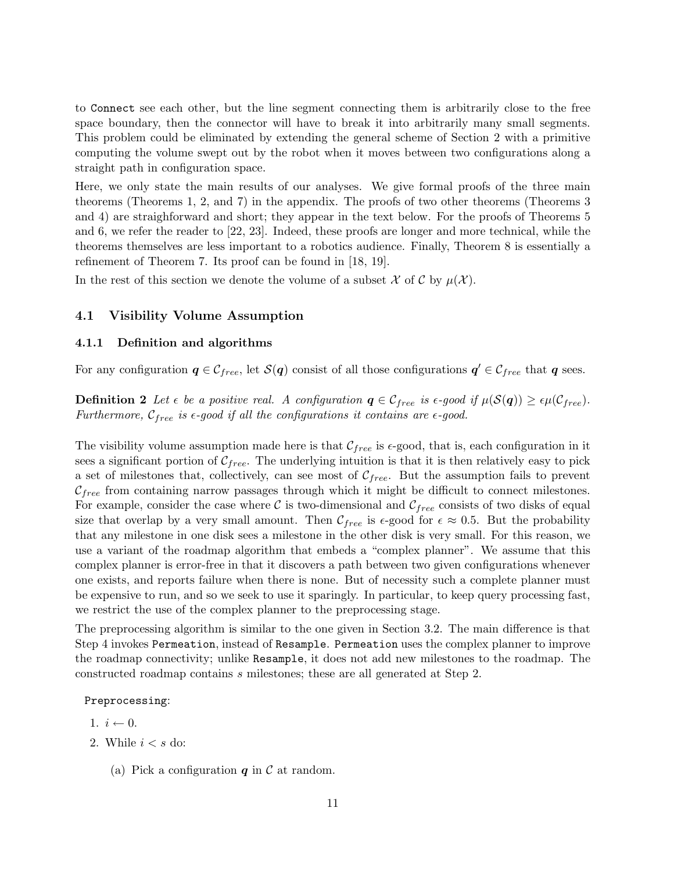to Connect see each other, but the line segment connecting them is arbitrarily close to the free space boundary, then the connector will have to break it into arbitrarily many small segments. This problem could be eliminated by extending the general scheme of Section 2 with a primitive computing the volume swept out by the robot when it moves between two configurations along a straight path in configuration space.

Here, we only state the main results of our analyses. We give formal proofs of the three main theorems (Theorems 1, 2, and 7) in the appendix. The proofs of two other theorems (Theorems 3 and 4) are straighforward and short; they appear in the text below. For the proofs of Theorems 5 and 6, we refer the reader to [22, 23]. Indeed, these proofs are longer and more technical, while the theorems themselves are less important to a robotics audience. Finally, Theorem 8 is essentially a refinement of Theorem 7. Its proof can be found in [18, 19].

In the rest of this section we denote the volume of a subset  $\mathcal X$  of  $\mathcal C$  by  $\mu(\mathcal X)$ .

#### 4.1 Visibility Volume Assumption

#### 4.1.1 Definition and algorithms

For any configuration  $q \in \mathcal{C}_{free}$ , let  $\mathcal{S}(q)$  consist of all those configurations  $q' \in \mathcal{C}_{free}$  that q sees.

**Definition 2** Let  $\epsilon$  be a positive real. A configuration  $q \in \mathcal{C}_{free}$  is  $\epsilon$ -good if  $\mu(\mathcal{S}(q)) \geq \epsilon \mu(\mathcal{C}_{free})$ . Furthermore,  $\mathcal{C}_{free}$  is  $\epsilon$ -good if all the configurations it contains are  $\epsilon$ -good.

The visibility volume assumption made here is that  $C_{free}$  is  $\epsilon$ -good, that is, each configuration in it sees a significant portion of  $C_{free}$ . The underlying intuition is that it is then relatively easy to pick a set of milestones that, collectively, can see most of  $C_{free}$ . But the assumption fails to prevent  $\mathcal{C}_{free}$  from containing narrow passages through which it might be difficult to connect milestones. For example, consider the case where  $\mathcal C$  is two-dimensional and  $\mathcal C_{free}$  consists of two disks of equal size that overlap by a very small amount. Then  $C_{free}$  is  $\epsilon$ -good for  $\epsilon \approx 0.5$ . But the probability that any milestone in one disk sees a milestone in the other disk is very small. For this reason, we use a variant of the roadmap algorithm that embeds a "complex planner". We assume that this complex planner is error-free in that it discovers a path between two given configurations whenever one exists, and reports failure when there is none. But of necessity such a complete planner must be expensive to run, and so we seek to use it sparingly. In particular, to keep query processing fast, we restrict the use of the complex planner to the preprocessing stage.

The preprocessing algorithm is similar to the one given in Section 3.2. The main difference is that Step 4 invokes Permeation, instead of Resample. Permeation uses the complex planner to improve the roadmap connectivity; unlike Resample, it does not add new milestones to the roadmap. The constructed roadmap contains s milestones; these are all generated at Step 2.

#### Preprocessing:

- 1.  $i \leftarrow 0$ .
- 2. While  $i < s$  do:
	- (a) Pick a configuration  $q$  in  $\mathcal C$  at random.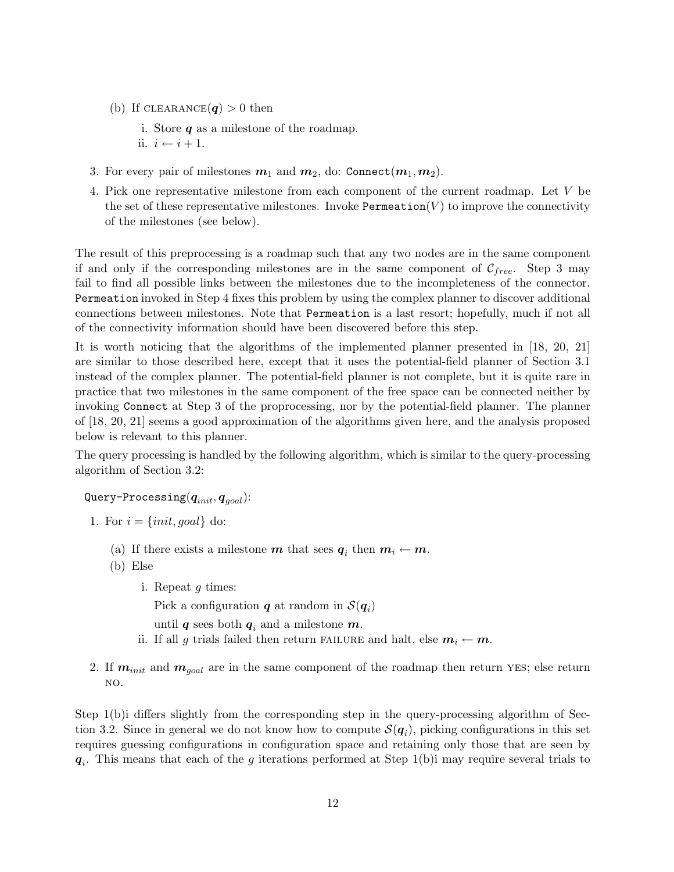- (b) If CLEARANCE $(q) > 0$  then
	- i. Store  $q$  as a milestone of the roadmap.
	- ii.  $i \leftarrow i + 1$ .
- 3. For every pair of milestones  $m_1$  and  $m_2$ , do: Connect $(m_1, m_2)$ .
- 4. Pick one representative milestone from each component of the current roadmap. Let V be the set of these representative milestones. Invoke Permeation $(V)$  to improve the connectivity of the milestones (see below).

The result of this preprocessing is a roadmap such that any two nodes are in the same component if and only if the corresponding milestones are in the same component of  $\mathcal{C}_{free}$ . Step 3 may fail to find all possible links between the milestones due to the incompleteness of the connector. Permeation invoked in Step 4 fixes this problem by using the complex planner to discover additional connections between milestones. Note that Permeation is a last resort; hopefully, much if not all of the connectivity information should have been discovered before this step.

It is worth noticing that the algorithms of the implemented planner presented in [18, 20, 21] are similar to those described here, except that it uses the potential-field planner of Section 3.1 instead of the complex planner. The potential-field planner is not complete, but it is quite rare in practice that two milestones in the same component of the free space can be connected neither by invoking Connect at Step 3 of the proprocessing, nor by the potential-field planner. The planner of [18, 20, 21] seems a good approximation of the algorithms given here, and the analysis proposed below is relevant to this planner.

The query processing is handled by the following algorithm, which is similar to the query-processing algorithm of Section 3.2:

Query-Processing $(q_{init}, q_{goal})$ :

- 1. For  $i = \{init, goal\}$  do:
	- (a) If there exists a milestone  $m$  that sees  $q_i$  then  $m_i \leftarrow m$ .
	- (b) Else
		- i. Repeat g times:

Pick a configuration  $q$  at random in  $\mathcal{S}(q_i)$ 

until q sees both  $q_i$  and a milestone m.

- ii. If all g trials failed then return FAILURE and halt, else  $m_i \leftarrow m$ .
- 2. If  $m_{init}$  and  $m_{goal}$  are in the same component of the roadmap then return YES; else return no.

Step 1(b)i differs slightly from the corresponding step in the query-processing algorithm of Section 3.2. Since in general we do not know how to compute  $\mathcal{S}(q_i)$ , picking configurations in this set requires guessing configurations in configuration space and retaining only those that are seen by  $q_i$ . This means that each of the g iterations performed at Step 1(b) may require several trials to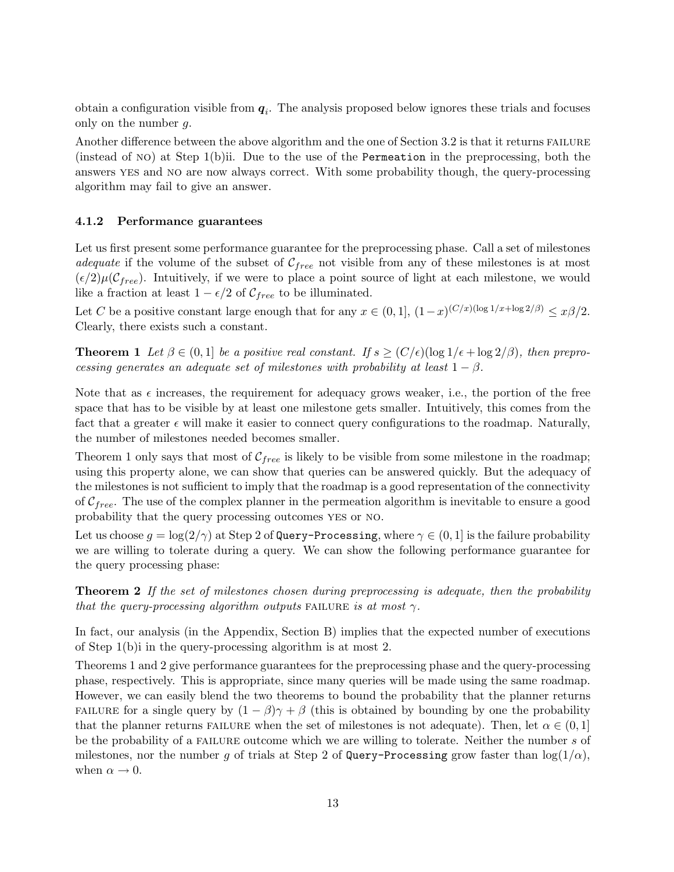obtain a configuration visible from  $q_i$ . The analysis proposed below ignores these trials and focuses only on the number g.

Another difference between the above algorithm and the one of Section 3.2 is that it returns FAILURE (instead of no) at Step 1(b)ii. Due to the use of the Permeation in the preprocessing, both the answers yes and no are now always correct. With some probability though, the query-processing algorithm may fail to give an answer.

#### 4.1.2 Performance guarantees

Let us first present some performance guarantee for the preprocessing phase. Call a set of milestones *adequate* if the volume of the subset of  $\mathcal{C}_{free}$  not visible from any of these milestones is at most  $(\epsilon/2)\mu(\mathcal{C}_{free})$ . Intuitively, if we were to place a point source of light at each milestone, we would like a fraction at least  $1 - \epsilon/2$  of  $C_{free}$  to be illuminated.

Let C be a positive constant large enough that for any  $x \in (0,1]$ ,  $(1-x)^{(C/x)(\log 1/x + \log 2/\beta)} \leq x\beta/2$ . Clearly, there exists such a constant.

**Theorem 1** Let  $\beta \in (0,1]$  be a positive real constant. If  $s \ge (C/\epsilon)(\log 1/\epsilon + \log 2/\beta)$ , then preprocessing generates an adequate set of milestones with probability at least  $1 - \beta$ .

Note that as  $\epsilon$  increases, the requirement for adequacy grows weaker, i.e., the portion of the free space that has to be visible by at least one milestone gets smaller. Intuitively, this comes from the fact that a greater  $\epsilon$  will make it easier to connect query configurations to the roadmap. Naturally, the number of milestones needed becomes smaller.

Theorem 1 only says that most of  $C_{free}$  is likely to be visible from some milestone in the roadmap; using this property alone, we can show that queries can be answered quickly. But the adequacy of the milestones is not sufficient to imply that the roadmap is a good representation of the connectivity of  $C_{free}$ . The use of the complex planner in the permeation algorithm is inevitable to ensure a good probability that the query processing outcomes yes or no.

Let us choose  $g = \log(2/\gamma)$  at Step 2 of Query-Processing, where  $\gamma \in (0,1]$  is the failure probability we are willing to tolerate during a query. We can show the following performance guarantee for the query processing phase:

**Theorem 2** If the set of milestones chosen during preprocessing is adequate, then the probability that the query-processing algorithm outputs FAILURE is at most  $\gamma$ .

In fact, our analysis (in the Appendix, Section B) implies that the expected number of executions of Step 1(b)i in the query-processing algorithm is at most 2.

Theorems 1 and 2 give performance guarantees for the preprocessing phase and the query-processing phase, respectively. This is appropriate, since many queries will be made using the same roadmap. However, we can easily blend the two theorems to bound the probability that the planner returns FAILURE for a single query by  $(1 - \beta)\gamma + \beta$  (this is obtained by bounding by one the probability that the planner returns FAILURE when the set of milestones is not adequate). Then, let  $\alpha \in (0,1]$ be the probability of a FAILURE outcome which we are willing to tolerate. Neither the number s of milestones, nor the number g of trials at Step 2 of Query-Processing grow faster than  $\log(1/\alpha)$ , when  $\alpha \rightarrow 0$ .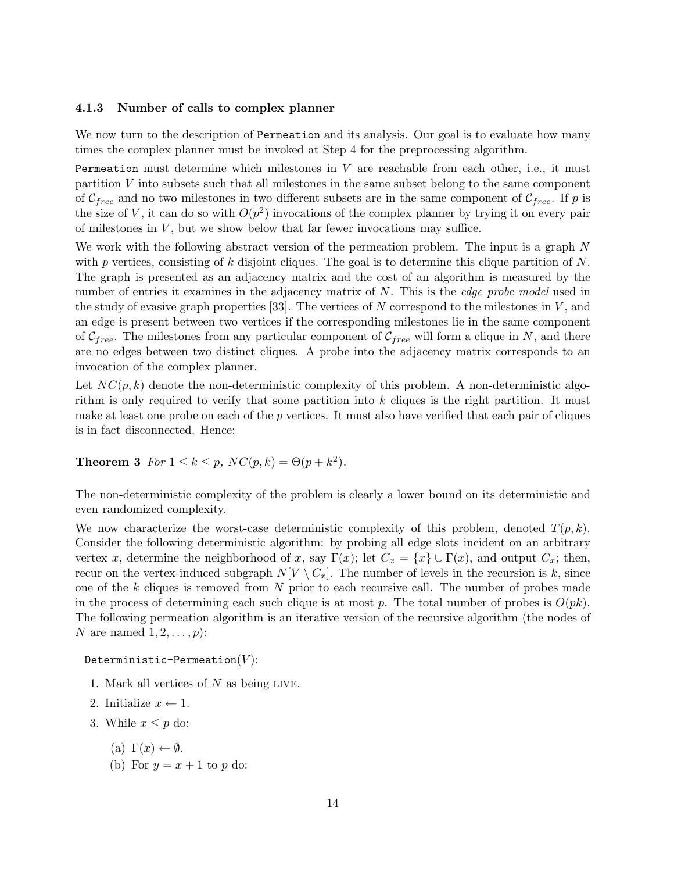#### 4.1.3 Number of calls to complex planner

We now turn to the description of Permeation and its analysis. Our goal is to evaluate how many times the complex planner must be invoked at Step 4 for the preprocessing algorithm.

Permeation must determine which milestones in  $V$  are reachable from each other, i.e., it must partition V into subsets such that all milestones in the same subset belong to the same component of  $\mathcal{C}_{free}$  and no two milestones in two different subsets are in the same component of  $\mathcal{C}_{free}$ . If p is the size of V, it can do so with  $O(p^2)$  invocations of the complex planner by trying it on every pair of milestones in  $V$ , but we show below that far fewer invocations may suffice.

We work with the following abstract version of the permeation problem. The input is a graph N with p vertices, consisting of k disjoint cliques. The goal is to determine this clique partition of  $N$ . The graph is presented as an adjacency matrix and the cost of an algorithm is measured by the number of entries it examines in the adjacency matrix of N. This is the *edge probe model* used in the study of evasive graph properties [33]. The vertices of N correspond to the milestones in  $V$ , and an edge is present between two vertices if the corresponding milestones lie in the same component of  $\mathcal{C}_{free}$ . The milestones from any particular component of  $\mathcal{C}_{free}$  will form a clique in N, and there are no edges between two distinct cliques. A probe into the adjacency matrix corresponds to an invocation of the complex planner.

Let  $NC(p, k)$  denote the non-deterministic complexity of this problem. A non-deterministic algorithm is only required to verify that some partition into k cliques is the right partition. It must make at least one probe on each of the p vertices. It must also have verified that each pair of cliques is in fact disconnected. Hence:

## **Theorem 3** For  $1 \le k \le p$ ,  $NC(p, k) = \Theta(p + k^2)$ .

The non-deterministic complexity of the problem is clearly a lower bound on its deterministic and even randomized complexity.

We now characterize the worst-case deterministic complexity of this problem, denoted  $T(p, k)$ . Consider the following deterministic algorithm: by probing all edge slots incident on an arbitrary vertex x, determine the neighborhood of x, say  $\Gamma(x)$ ; let  $C_x = \{x\} \cup \Gamma(x)$ , and output  $C_x$ ; then, recur on the vertex-induced subgraph  $N[V \setminus C_x]$ . The number of levels in the recursion is k, since one of the k cliques is removed from N prior to each recursive call. The number of probes made in the process of determining each such clique is at most p. The total number of probes is  $O(pk)$ . The following permeation algorithm is an iterative version of the recursive algorithm (the nodes of N are named  $1, 2, \ldots, p$ :

#### Deterministic-Permeation $(V)$ :

- 1. Mark all vertices of  $N$  as being LIVE.
- 2. Initialize  $x \leftarrow 1$ .
- 3. While  $x \leq p$  do:
	- (a)  $\Gamma(x) \leftarrow \emptyset$ .
	- (b) For  $y = x + 1$  to p do: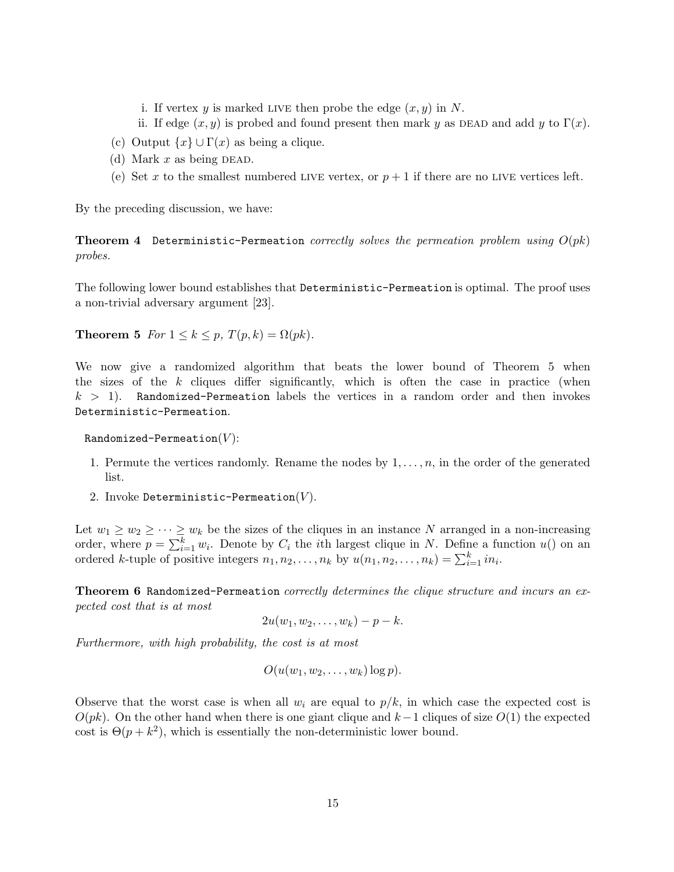- i. If vertex y is marked LIVE then probe the edge  $(x, y)$  in N.
- ii. If edge  $(x, y)$  is probed and found present then mark y as DEAD and add y to  $\Gamma(x)$ .
- (c) Output  $\{x\} \cup \Gamma(x)$  as being a clique.
- (d) Mark  $x$  as being DEAD.
- (e) Set x to the smallest numbered LIVE vertex, or  $p+1$  if there are no LIVE vertices left.

By the preceding discussion, we have:

**Theorem 4** Deterministic-Permeation correctly solves the permeation problem using  $O(pk)$ probes.

The following lower bound establishes that Deterministic-Permeation is optimal. The proof uses a non-trivial adversary argument [23].

**Theorem 5** For  $1 \leq k \leq p$ ,  $T(p, k) = \Omega(pk)$ .

We now give a randomized algorithm that beats the lower bound of Theorem 5 when the sizes of the  $k$  cliques differ significantly, which is often the case in practice (when  $k > 1$ ). Randomized-Permeation labels the vertices in a random order and then invokes Deterministic-Permeation.

Randomized-Permeation $(V)$ :

- 1. Permute the vertices randomly. Rename the nodes by  $1, \ldots, n$ , in the order of the generated list.
- 2. Invoke Deterministic-Permeation $(V)$ .

Let  $w_1 \geq w_2 \geq \cdots \geq w_k$  be the sizes of the cliques in an instance N arranged in a non-increasing order, where  $p = \sum_{i=1}^{k} w_i$ . Denote by  $C_i$  the *i*th largest clique in N. Define a function  $u()$  on an ordered k-tuple of positive integers  $n_1, n_2, \ldots, n_k$  by  $u(n_1, n_2, \ldots, n_k) = \sum_{i=1}^k i n_i$ .

**Theorem 6 Randomized-Permeation** correctly determines the clique structure and incurs an expected cost that is at most

$$
2u(w_1, w_2, \ldots, w_k) - p - k.
$$

Furthermore, with high probability, the cost is at most

$$
O(u(w_1, w_2, \ldots, w_k) \log p).
$$

Observe that the worst case is when all  $w_i$  are equal to  $p/k$ , in which case the expected cost is  $O(pk)$ . On the other hand when there is one giant clique and  $k-1$  cliques of size  $O(1)$  the expected cost is  $\Theta(p+k^2)$ , which is essentially the non-deterministic lower bound.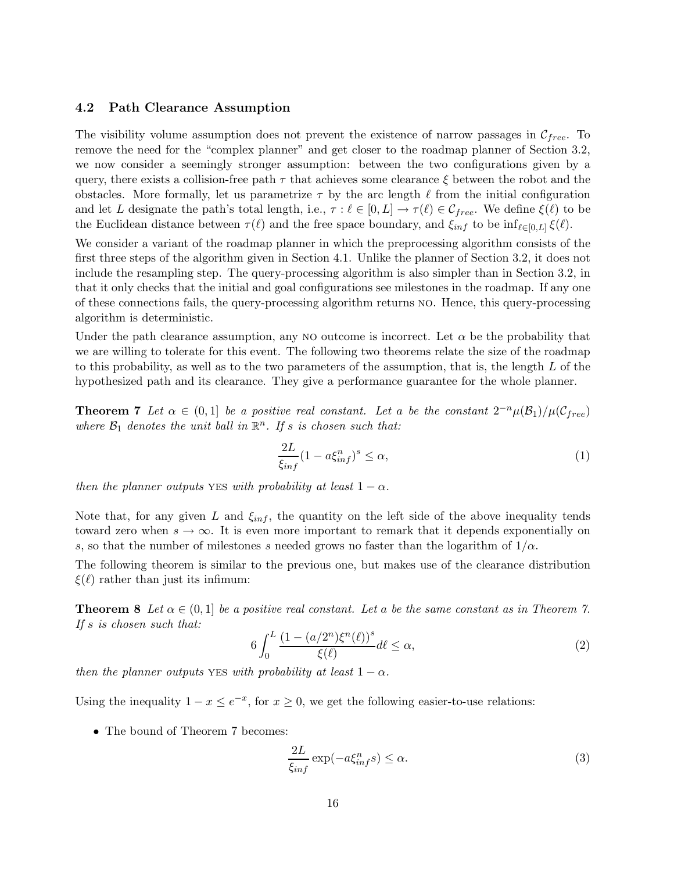#### 4.2 Path Clearance Assumption

The visibility volume assumption does not prevent the existence of narrow passages in  $\mathcal{C}_{free}$ . To remove the need for the "complex planner" and get closer to the roadmap planner of Section 3.2, we now consider a seemingly stronger assumption: between the two configurations given by a query, there exists a collision-free path  $\tau$  that achieves some clearance  $\xi$  between the robot and the obstacles. More formally, let us parametrize  $\tau$  by the arc length  $\ell$  from the initial configuration and let L designate the path's total length, i.e.,  $\tau : \ell \in [0, L] \to \tau(\ell) \in \mathcal{C}_{free}$ . We define  $\xi(\ell)$  to be the Euclidean distance between  $\tau(\ell)$  and the free space boundary, and  $\xi_{inf}$  to be  $\inf_{\ell \in [0,L]} \xi(\ell)$ .

We consider a variant of the roadmap planner in which the preprocessing algorithm consists of the first three steps of the algorithm given in Section 4.1. Unlike the planner of Section 3.2, it does not include the resampling step. The query-processing algorithm is also simpler than in Section 3.2, in that it only checks that the initial and goal configurations see milestones in the roadmap. If any one of these connections fails, the query-processing algorithm returns no. Hence, this query-processing algorithm is deterministic.

Under the path clearance assumption, any NO outcome is incorrect. Let  $\alpha$  be the probability that we are willing to tolerate for this event. The following two theorems relate the size of the roadmap to this probability, as well as to the two parameters of the assumption, that is, the length  $L$  of the hypothesized path and its clearance. They give a performance guarantee for the whole planner.

**Theorem 7** Let  $\alpha \in (0,1]$  be a positive real constant. Let a be the constant  $2^{-n}\mu(\mathcal{B}_1)/\mu(\mathcal{C}_{free})$ where  $\mathcal{B}_1$  denotes the unit ball in  $\mathbb{R}^n$ . If s is chosen such that:

$$
\frac{2L}{\xi_{inf}}(1 - a\xi_{inf}^n)^s \le \alpha,\tag{1}
$$

then the planner outputs yes with probability at least  $1 - \alpha$ .

Note that, for any given L and  $\xi_{inf}$ , the quantity on the left side of the above inequality tends toward zero when  $s \to \infty$ . It is even more important to remark that it depends exponentially on s, so that the number of milestones s needed grows no faster than the logarithm of  $1/\alpha$ .

The following theorem is similar to the previous one, but makes use of the clearance distribution  $\xi(\ell)$  rather than just its infimum:

**Theorem 8** Let  $\alpha \in (0,1]$  be a positive real constant. Let a be the same constant as in Theorem 7. If s is chosen such that:

$$
6\int_0^L \frac{\left(1 - \left(\frac{a}{2^n}\right)\xi^n(\ell)\right)^s}{\xi(\ell)} d\ell \le \alpha,\tag{2}
$$

then the planner outputs yes with probability at least  $1 - \alpha$ .

Using the inequality  $1 - x \le e^{-x}$ , for  $x \ge 0$ , we get the following easier-to-use relations:

• The bound of Theorem 7 becomes:

$$
\frac{2L}{\xi_{inf}} \exp(-a\xi_{inf}^n s) \le \alpha.
$$
\n(3)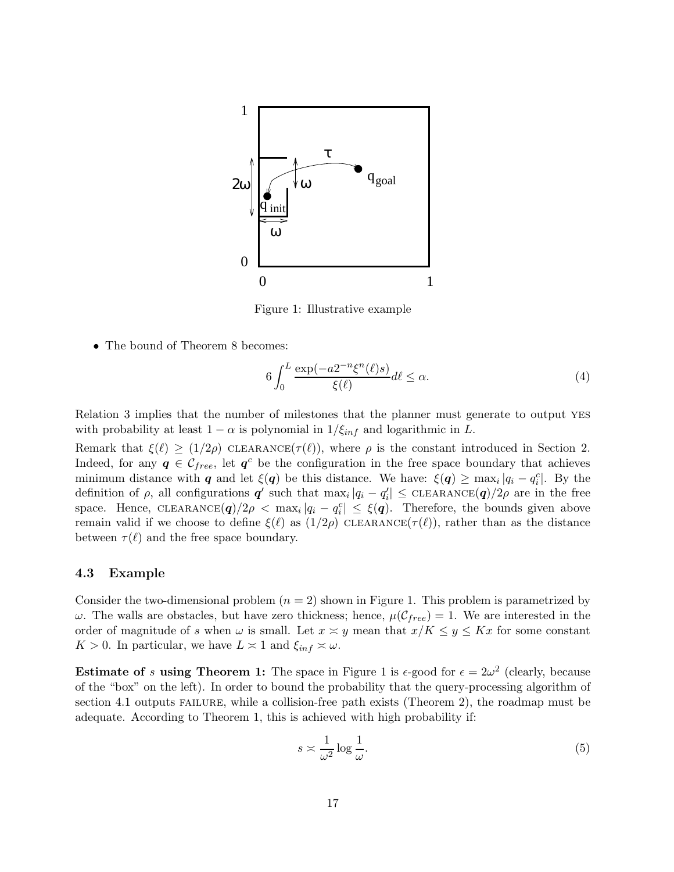

Figure 1: Illustrative example

• The bound of Theorem 8 becomes:

$$
6\int_0^L \frac{\exp(-a2^{-n}\xi^n(\ell)s)}{\xi(\ell)}d\ell \le \alpha.
$$
\n(4)

Relation 3 implies that the number of milestones that the planner must generate to output yes with probability at least  $1 - \alpha$  is polynomial in  $1/\xi_{inf}$  and logarithmic in L.

Remark that  $\xi(\ell) \ge (1/2\rho)$  CLEARANCE( $\tau(\ell)$ ), where  $\rho$  is the constant introduced in Section 2. Indeed, for any  $q \in \mathcal{C}_{free}$ , let  $q^c$  be the configuration in the free space boundary that achieves minimum distance with q and let  $\xi(q)$  be this distance. We have:  $\xi(q) \geq \max_i |q_i - q_i^c|$ . By the definition of  $\rho$ , all configurations  $\boldsymbol{q}'$  such that  $\max_i |q_i - q'_i| \leq \text{CLEARANCE}(\boldsymbol{q})/2\rho$  are in the free space. Hence, CLEARANCE $(q)/2\rho < \max_i |q_i - q_i^c| \leq \xi(q)$ . Therefore, the bounds given above remain valid if we choose to define  $\xi(\ell)$  as  $(1/2\rho)$  CLEARANCE( $\tau(\ell)$ ), rather than as the distance between  $\tau(\ell)$  and the free space boundary.

#### 4.3 Example

Consider the two-dimensional problem  $(n = 2)$  shown in Figure 1. This problem is parametrized by ω. The walls are obstacles, but have zero thickness; hence,  $\mu(\mathcal{C}_{free}) = 1$ . We are interested in the order of magnitude of s when  $\omega$  is small. Let  $x \approx y$  mean that  $x/K \leq y \leq Kx$  for some constant  $K > 0$ . In particular, we have  $L \approx 1$  and  $\xi_{inf} \approx \omega$ .

**Estimate of s using Theorem 1:** The space in Figure 1 is  $\epsilon$ -good for  $\epsilon = 2\omega^2$  (clearly, because of the "box" on the left). In order to bound the probability that the query-processing algorithm of section 4.1 outputs FAILURE, while a collision-free path exists (Theorem 2), the roadmap must be adequate. According to Theorem 1, this is achieved with high probability if:

$$
s \approx \frac{1}{\omega^2} \log \frac{1}{\omega}.\tag{5}
$$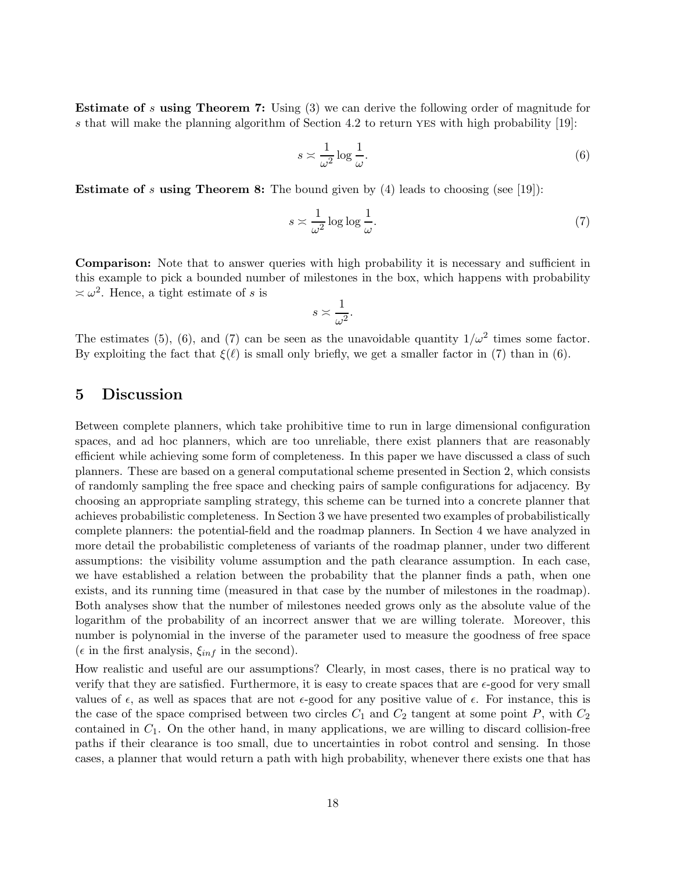Estimate of s using Theorem 7: Using (3) we can derive the following order of magnitude for s that will make the planning algorithm of Section 4.2 to return YES with high probability [19]:

$$
s \approx \frac{1}{\omega^2} \log \frac{1}{\omega}.\tag{6}
$$

**Estimate of s using Theorem 8:** The bound given by  $(4)$  leads to choosing (see [19]):

$$
s \approx \frac{1}{\omega^2} \log \log \frac{1}{\omega}.\tag{7}
$$

Comparison: Note that to answer queries with high probability it is necessary and sufficient in this example to pick a bounded number of milestones in the box, which happens with probability  $\approx \omega^2$ . Hence, a tight estimate of s is

$$
s \asymp \frac{1}{\omega^2}.
$$

The estimates (5), (6), and (7) can be seen as the unavoidable quantity  $1/\omega^2$  times some factor. By exploiting the fact that  $\xi(\ell)$  is small only briefly, we get a smaller factor in (7) than in (6).

## 5 Discussion

Between complete planners, which take prohibitive time to run in large dimensional configuration spaces, and ad hoc planners, which are too unreliable, there exist planners that are reasonably efficient while achieving some form of completeness. In this paper we have discussed a class of such planners. These are based on a general computational scheme presented in Section 2, which consists of randomly sampling the free space and checking pairs of sample configurations for adjacency. By choosing an appropriate sampling strategy, this scheme can be turned into a concrete planner that achieves probabilistic completeness. In Section 3 we have presented two examples of probabilistically complete planners: the potential-field and the roadmap planners. In Section 4 we have analyzed in more detail the probabilistic completeness of variants of the roadmap planner, under two different assumptions: the visibility volume assumption and the path clearance assumption. In each case, we have established a relation between the probability that the planner finds a path, when one exists, and its running time (measured in that case by the number of milestones in the roadmap). Both analyses show that the number of milestones needed grows only as the absolute value of the logarithm of the probability of an incorrect answer that we are willing tolerate. Moreover, this number is polynomial in the inverse of the parameter used to measure the goodness of free space ( $\epsilon$  in the first analysis,  $\xi_{inf}$  in the second).

How realistic and useful are our assumptions? Clearly, in most cases, there is no pratical way to verify that they are satisfied. Furthermore, it is easy to create spaces that are  $\epsilon$ -good for very small values of  $\epsilon$ , as well as spaces that are not  $\epsilon$ -good for any positive value of  $\epsilon$ . For instance, this is the case of the space comprised between two circles  $C_1$  and  $C_2$  tangent at some point P, with  $C_2$ contained in  $C_1$ . On the other hand, in many applications, we are willing to discard collision-free paths if their clearance is too small, due to uncertainties in robot control and sensing. In those cases, a planner that would return a path with high probability, whenever there exists one that has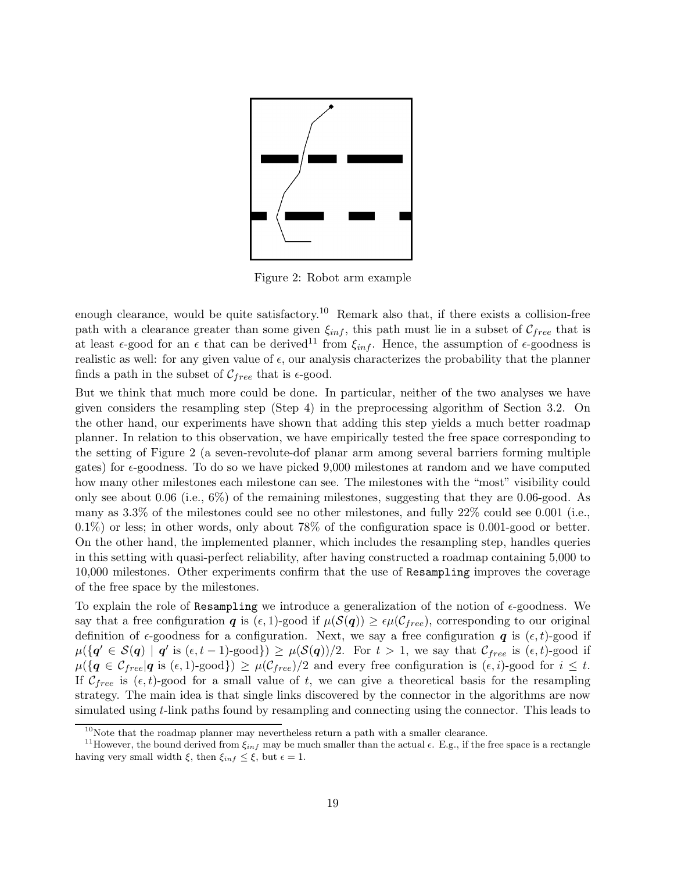

Figure 2: Robot arm example

enough clearance, would be quite satisfactory.<sup>10</sup> Remark also that, if there exists a collision-free path with a clearance greater than some given  $\xi_{inf}$ , this path must lie in a subset of  $\mathcal{C}_{free}$  that is at least  $\epsilon$ -good for an  $\epsilon$  that can be derived<sup>11</sup> from  $\xi_{inf}$ . Hence, the assumption of  $\epsilon$ -goodness is realistic as well: for any given value of  $\epsilon$ , our analysis characterizes the probability that the planner finds a path in the subset of  $\mathcal{C}_{free}$  that is  $\epsilon$ -good.

But we think that much more could be done. In particular, neither of the two analyses we have given considers the resampling step (Step 4) in the preprocessing algorithm of Section 3.2. On the other hand, our experiments have shown that adding this step yields a much better roadmap planner. In relation to this observation, we have empirically tested the free space corresponding to the setting of Figure 2 (a seven-revolute-dof planar arm among several barriers forming multiple gates) for  $\epsilon$ -goodness. To do so we have picked 9,000 milestones at random and we have computed how many other milestones each milestone can see. The milestones with the "most" visibility could only see about 0.06 (i.e., 6%) of the remaining milestones, suggesting that they are 0.06-good. As many as 3.3% of the milestones could see no other milestones, and fully 22% could see 0.001 (i.e., 0.1%) or less; in other words, only about 78% of the configuration space is 0.001-good or better. On the other hand, the implemented planner, which includes the resampling step, handles queries in this setting with quasi-perfect reliability, after having constructed a roadmap containing 5,000 to 10,000 milestones. Other experiments confirm that the use of Resampling improves the coverage of the free space by the milestones.

To explain the role of Resampling we introduce a generalization of the notion of  $\epsilon$ -goodness. We say that a free configuration q is  $(\epsilon, 1)$ -good if  $\mu(\mathcal{S}(q)) \geq \epsilon \mu(\mathcal{C}_{free})$ , corresponding to our original definition of  $\epsilon$ -goodness for a configuration. Next, we say a free configuration  $q$  is  $(\epsilon, t)$ -good if  $\mu({\{q' \in \mathcal{S}(q) \mid q' \text{ is } (\epsilon, t-1) \text{-good}\}}) \geq \mu(\mathcal{S}(q))/2.$  For  $t > 1$ , we say that  $\mathcal{C}_{free}$  is  $(\epsilon, t) \text{-good if}$  $\mu({\{q \in \mathcal{C}_{free} | q \text{ is } (\epsilon, 1) \text{-good}\}) \geq \mu(\mathcal{C}_{free})/2 \text{ and every free configuration is } (\epsilon, i) \text{-good for } i \leq t.$ If  $\mathcal{C}_{free}$  is  $(\epsilon, t)$ -good for a small value of t, we can give a theoretical basis for the resampling strategy. The main idea is that single links discovered by the connector in the algorithms are now simulated using  $t$ -link paths found by resampling and connecting using the connector. This leads to

 $10$ Note that the roadmap planner may nevertheless return a path with a smaller clearance.

<sup>&</sup>lt;sup>11</sup>However, the bound derived from  $\xi_{inf}$  may be much smaller than the actual  $\epsilon$ . E.g., if the free space is a rectangle having very small width  $\xi$ , then  $\xi_{inf} \leq \xi$ , but  $\epsilon = 1$ .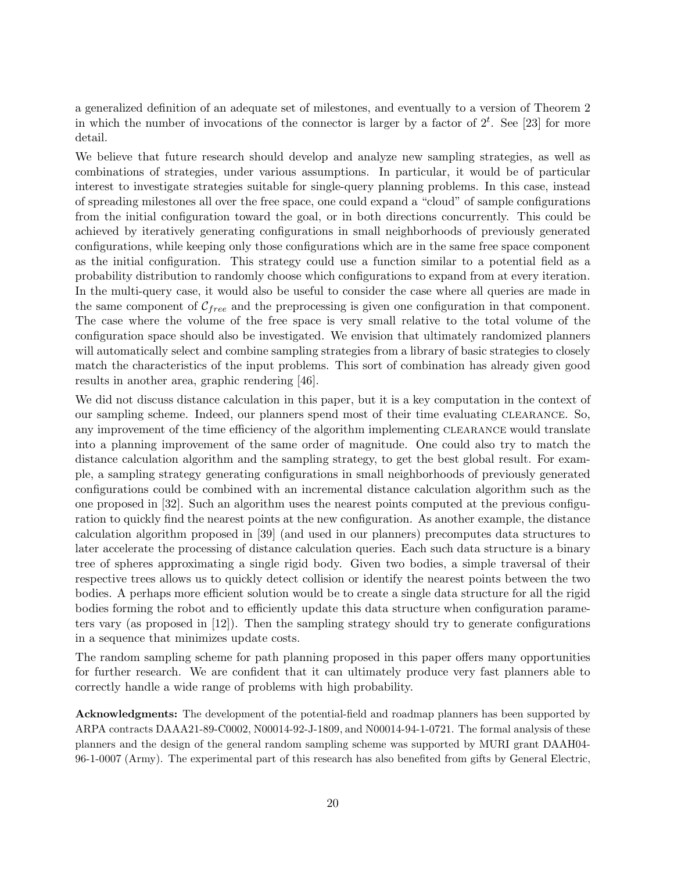a generalized definition of an adequate set of milestones, and eventually to a version of Theorem 2 in which the number of invocations of the connector is larger by a factor of  $2^t$ . See [23] for more detail.

We believe that future research should develop and analyze new sampling strategies, as well as combinations of strategies, under various assumptions. In particular, it would be of particular interest to investigate strategies suitable for single-query planning problems. In this case, instead of spreading milestones all over the free space, one could expand a "cloud" of sample configurations from the initial configuration toward the goal, or in both directions concurrently. This could be achieved by iteratively generating configurations in small neighborhoods of previously generated configurations, while keeping only those configurations which are in the same free space component as the initial configuration. This strategy could use a function similar to a potential field as a probability distribution to randomly choose which configurations to expand from at every iteration. In the multi-query case, it would also be useful to consider the case where all queries are made in the same component of  $\mathcal{C}_{free}$  and the preprocessing is given one configuration in that component. The case where the volume of the free space is very small relative to the total volume of the configuration space should also be investigated. We envision that ultimately randomized planners will automatically select and combine sampling strategies from a library of basic strategies to closely match the characteristics of the input problems. This sort of combination has already given good results in another area, graphic rendering [46].

We did not discuss distance calculation in this paper, but it is a key computation in the context of our sampling scheme. Indeed, our planners spend most of their time evaluating clearance. So, any improvement of the time efficiency of the algorithm implementing CLEARANCE would translate into a planning improvement of the same order of magnitude. One could also try to match the distance calculation algorithm and the sampling strategy, to get the best global result. For example, a sampling strategy generating configurations in small neighborhoods of previously generated configurations could be combined with an incremental distance calculation algorithm such as the one proposed in [32]. Such an algorithm uses the nearest points computed at the previous configuration to quickly find the nearest points at the new configuration. As another example, the distance calculation algorithm proposed in [39] (and used in our planners) precomputes data structures to later accelerate the processing of distance calculation queries. Each such data structure is a binary tree of spheres approximating a single rigid body. Given two bodies, a simple traversal of their respective trees allows us to quickly detect collision or identify the nearest points between the two bodies. A perhaps more efficient solution would be to create a single data structure for all the rigid bodies forming the robot and to efficiently update this data structure when configuration parameters vary (as proposed in [12]). Then the sampling strategy should try to generate configurations in a sequence that minimizes update costs.

The random sampling scheme for path planning proposed in this paper offers many opportunities for further research. We are confident that it can ultimately produce very fast planners able to correctly handle a wide range of problems with high probability.

Acknowledgments: The development of the potential-field and roadmap planners has been supported by ARPA contracts DAAA21-89-C0002, N00014-92-J-1809, and N00014-94-1-0721. The formal analysis of these planners and the design of the general random sampling scheme was supported by MURI grant DAAH04- 96-1-0007 (Army). The experimental part of this research has also benefited from gifts by General Electric,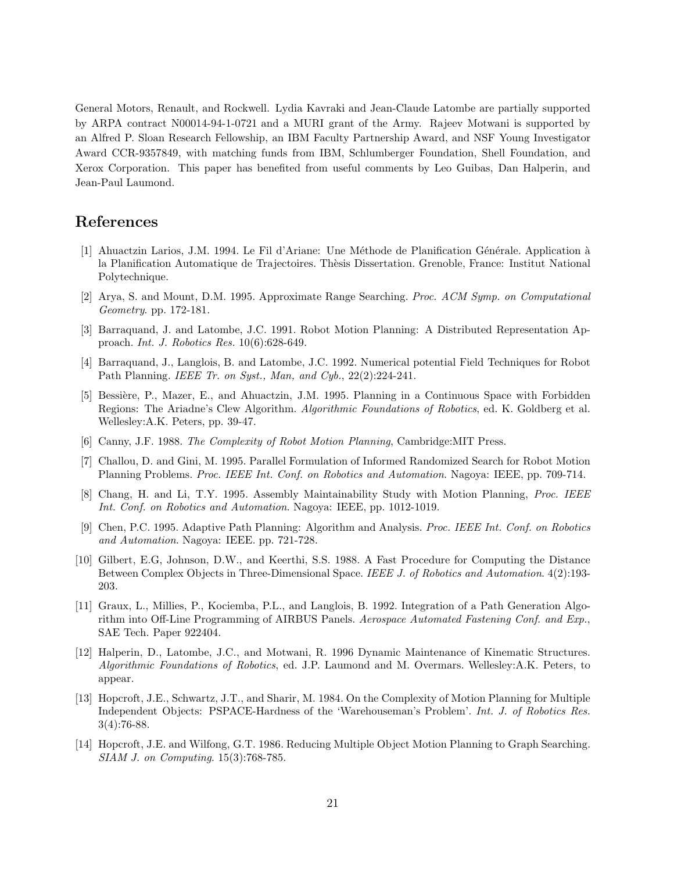General Motors, Renault, and Rockwell. Lydia Kavraki and Jean-Claude Latombe are partially supported by ARPA contract N00014-94-1-0721 and a MURI grant of the Army. Rajeev Motwani is supported by an Alfred P. Sloan Research Fellowship, an IBM Faculty Partnership Award, and NSF Young Investigator Award CCR-9357849, with matching funds from IBM, Schlumberger Foundation, Shell Foundation, and Xerox Corporation. This paper has benefited from useful comments by Leo Guibas, Dan Halperin, and Jean-Paul Laumond.

## References

- [1] Ahuactzin Larios, J.M. 1994. Le Fil d'Ariane: Une M´ethode de Planification G´en´erale. Application `a la Planification Automatique de Trajectoires. Thèsis Dissertation. Grenoble, France: Institut National Polytechnique.
- [2] Arya, S. and Mount, D.M. 1995. Approximate Range Searching. Proc. ACM Symp. on Computational Geometry. pp. 172-181.
- [3] Barraquand, J. and Latombe, J.C. 1991. Robot Motion Planning: A Distributed Representation Approach. Int. J. Robotics Res. 10(6):628-649.
- [4] Barraquand, J., Langlois, B. and Latombe, J.C. 1992. Numerical potential Field Techniques for Robot Path Planning. IEEE Tr. on Syst., Man, and Cyb., 22(2):224-241.
- [5] Bessière, P., Mazer, E., and Ahuactzin, J.M. 1995. Planning in a Continuous Space with Forbidden Regions: The Ariadne's Clew Algorithm. Algorithmic Foundations of Robotics, ed. K. Goldberg et al. Wellesley:A.K. Peters, pp. 39-47.
- [6] Canny, J.F. 1988. The Complexity of Robot Motion Planning, Cambridge:MIT Press.
- [7] Challou, D. and Gini, M. 1995. Parallel Formulation of Informed Randomized Search for Robot Motion Planning Problems. Proc. IEEE Int. Conf. on Robotics and Automation. Nagoya: IEEE, pp. 709-714.
- [8] Chang, H. and Li, T.Y. 1995. Assembly Maintainability Study with Motion Planning, Proc. IEEE Int. Conf. on Robotics and Automation. Nagoya: IEEE, pp. 1012-1019.
- [9] Chen, P.C. 1995. Adaptive Path Planning: Algorithm and Analysis. Proc. IEEE Int. Conf. on Robotics and Automation. Nagoya: IEEE. pp. 721-728.
- [10] Gilbert, E.G, Johnson, D.W., and Keerthi, S.S. 1988. A Fast Procedure for Computing the Distance Between Complex Objects in Three-Dimensional Space. IEEE J. of Robotics and Automation. 4(2):193-203.
- [11] Graux, L., Millies, P., Kociemba, P.L., and Langlois, B. 1992. Integration of a Path Generation Algorithm into Off-Line Programming of AIRBUS Panels. Aerospace Automated Fastening Conf. and Exp., SAE Tech. Paper 922404.
- [12] Halperin, D., Latombe, J.C., and Motwani, R. 1996 Dynamic Maintenance of Kinematic Structures. Algorithmic Foundations of Robotics, ed. J.P. Laumond and M. Overmars. Wellesley:A.K. Peters, to appear.
- [13] Hopcroft, J.E., Schwartz, J.T., and Sharir, M. 1984. On the Complexity of Motion Planning for Multiple Independent Objects: PSPACE-Hardness of the 'Warehouseman's Problem'. Int. J. of Robotics Res. 3(4):76-88.
- [14] Hopcroft, J.E. and Wilfong, G.T. 1986. Reducing Multiple Object Motion Planning to Graph Searching. SIAM J. on Computing. 15(3):768-785.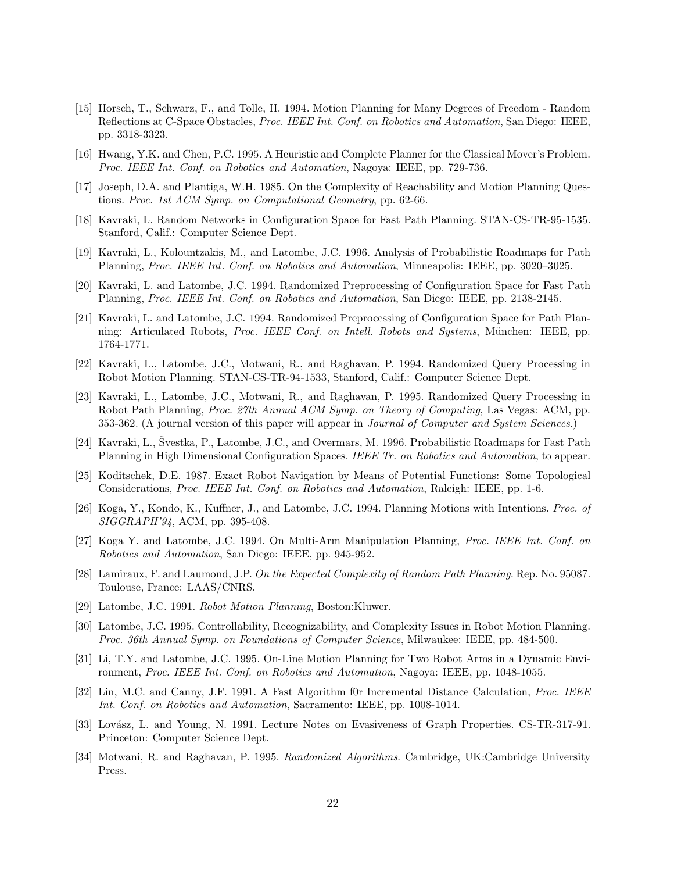- [15] Horsch, T., Schwarz, F., and Tolle, H. 1994. Motion Planning for Many Degrees of Freedom Random Reflections at C-Space Obstacles, *Proc. IEEE Int. Conf. on Robotics and Automation*, San Diego: IEEE, pp. 3318-3323.
- [16] Hwang, Y.K. and Chen, P.C. 1995. A Heuristic and Complete Planner for the Classical Mover's Problem. Proc. IEEE Int. Conf. on Robotics and Automation, Nagoya: IEEE, pp. 729-736.
- [17] Joseph, D.A. and Plantiga, W.H. 1985. On the Complexity of Reachability and Motion Planning Questions. Proc. 1st ACM Symp. on Computational Geometry, pp. 62-66.
- [18] Kavraki, L. Random Networks in Configuration Space for Fast Path Planning. STAN-CS-TR-95-1535. Stanford, Calif.: Computer Science Dept.
- [19] Kavraki, L., Kolountzakis, M., and Latombe, J.C. 1996. Analysis of Probabilistic Roadmaps for Path Planning, Proc. IEEE Int. Conf. on Robotics and Automation, Minneapolis: IEEE, pp. 3020–3025.
- [20] Kavraki, L. and Latombe, J.C. 1994. Randomized Preprocessing of Configuration Space for Fast Path Planning, Proc. IEEE Int. Conf. on Robotics and Automation, San Diego: IEEE, pp. 2138-2145.
- [21] Kavraki, L. and Latombe, J.C. 1994. Randomized Preprocessing of Configuration Space for Path Planning: Articulated Robots, Proc. IEEE Conf. on Intell. Robots and Systems, München: IEEE, pp. 1764-1771.
- [22] Kavraki, L., Latombe, J.C., Motwani, R., and Raghavan, P. 1994. Randomized Query Processing in Robot Motion Planning. STAN-CS-TR-94-1533, Stanford, Calif.: Computer Science Dept.
- [23] Kavraki, L., Latombe, J.C., Motwani, R., and Raghavan, P. 1995. Randomized Query Processing in Robot Path Planning, Proc. 27th Annual ACM Symp. on Theory of Computing, Las Vegas: ACM, pp. 353-362. (A journal version of this paper will appear in *Journal of Computer and System Sciences*.)
- [24] Kavraki, L., Švestka, P., Latombe, J.C., and Overmars, M. 1996. Probabilistic Roadmaps for Fast Path Planning in High Dimensional Configuration Spaces. IEEE Tr. on Robotics and Automation, to appear.
- [25] Koditschek, D.E. 1987. Exact Robot Navigation by Means of Potential Functions: Some Topological Considerations, Proc. IEEE Int. Conf. on Robotics and Automation, Raleigh: IEEE, pp. 1-6.
- [26] Koga, Y., Kondo, K., Kuffner, J., and Latombe, J.C. 1994. Planning Motions with Intentions. Proc. of SIGGRAPH'94, ACM, pp. 395-408.
- [27] Koga Y. and Latombe, J.C. 1994. On Multi-Arm Manipulation Planning, Proc. IEEE Int. Conf. on Robotics and Automation, San Diego: IEEE, pp. 945-952.
- [28] Lamiraux, F. and Laumond, J.P. On the Expected Complexity of Random Path Planning. Rep. No. 95087. Toulouse, France: LAAS/CNRS.
- [29] Latombe, J.C. 1991. Robot Motion Planning, Boston:Kluwer.
- [30] Latombe, J.C. 1995. Controllability, Recognizability, and Complexity Issues in Robot Motion Planning. Proc. 36th Annual Symp. on Foundations of Computer Science, Milwaukee: IEEE, pp. 484-500.
- [31] Li, T.Y. and Latombe, J.C. 1995. On-Line Motion Planning for Two Robot Arms in a Dynamic Environment, Proc. IEEE Int. Conf. on Robotics and Automation, Nagoya: IEEE, pp. 1048-1055.
- [32] Lin, M.C. and Canny, J.F. 1991. A Fast Algorithm f0r Incremental Distance Calculation, *Proc. IEEE* Int. Conf. on Robotics and Automation, Sacramento: IEEE, pp. 1008-1014.
- [33] Lovász, L. and Young, N. 1991. Lecture Notes on Evasiveness of Graph Properties. CS-TR-317-91. Princeton: Computer Science Dept.
- [34] Motwani, R. and Raghavan, P. 1995. Randomized Algorithms. Cambridge, UK:Cambridge University Press.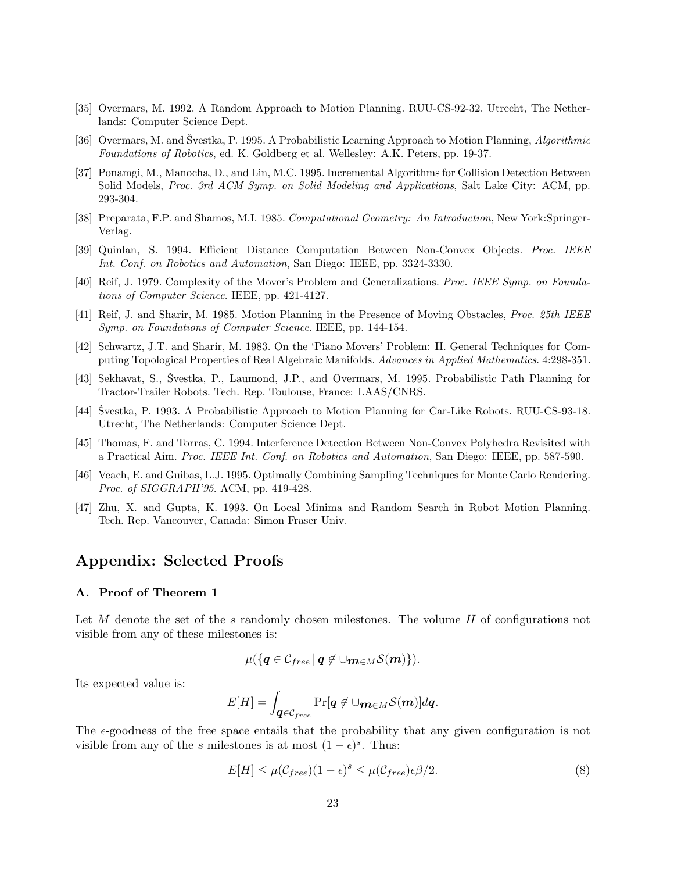- [35] Overmars, M. 1992. A Random Approach to Motion Planning. RUU-CS-92-32. Utrecht, The Netherlands: Computer Science Dept.
- [36] Overmars, M. and Svestka, P. 1995. A Probabilistic Learning Approach to Motion Planning, Algorithmic Foundations of Robotics, ed. K. Goldberg et al. Wellesley: A.K. Peters, pp. 19-37.
- [37] Ponamgi, M., Manocha, D., and Lin, M.C. 1995. Incremental Algorithms for Collision Detection Between Solid Models, *Proc. 3rd ACM Symp. on Solid Modeling and Applications*, Salt Lake City: ACM, pp. 293-304.
- [38] Preparata, F.P. and Shamos, M.I. 1985. Computational Geometry: An Introduction, New York:Springer-Verlag.
- [39] Quinlan, S. 1994. Efficient Distance Computation Between Non-Convex Objects. Proc. IEEE Int. Conf. on Robotics and Automation, San Diego: IEEE, pp. 3324-3330.
- [40] Reif, J. 1979. Complexity of the Mover's Problem and Generalizations. Proc. IEEE Symp. on Foundations of Computer Science. IEEE, pp. 421-4127.
- [41] Reif, J. and Sharir, M. 1985. Motion Planning in the Presence of Moving Obstacles, Proc. 25th IEEE Symp. on Foundations of Computer Science. IEEE, pp. 144-154.
- [42] Schwartz, J.T. and Sharir, M. 1983. On the 'Piano Movers' Problem: II. General Techniques for Computing Topological Properties of Real Algebraic Manifolds. Advances in Applied Mathematics. 4:298-351.
- [43] Sekhavat, S., Švestka, P., Laumond, J.P., and Overmars, M. 1995. Probabilistic Path Planning for Tractor-Trailer Robots. Tech. Rep. Toulouse, France: LAAS/CNRS.
- [44] Švestka, P. 1993. A Probabilistic Approach to Motion Planning for Car-Like Robots. RUU-CS-93-18. Utrecht, The Netherlands: Computer Science Dept.
- [45] Thomas, F. and Torras, C. 1994. Interference Detection Between Non-Convex Polyhedra Revisited with a Practical Aim. Proc. IEEE Int. Conf. on Robotics and Automation, San Diego: IEEE, pp. 587-590.
- [46] Veach, E. and Guibas, L.J. 1995. Optimally Combining Sampling Techniques for Monte Carlo Rendering. Proc. of SIGGRAPH'95. ACM, pp. 419-428.
- [47] Zhu, X. and Gupta, K. 1993. On Local Minima and Random Search in Robot Motion Planning. Tech. Rep. Vancouver, Canada: Simon Fraser Univ.

## Appendix: Selected Proofs

#### A. Proof of Theorem 1

Let M denote the set of the s randomly chosen milestones. The volume H of configurations not visible from any of these milestones is:

$$
\mu(\lbrace {\boldsymbol q} \in {\mathcal C}_{free} \, | \, {\boldsymbol q} \not\in \cup {\boldsymbol m} \in M{\mathcal S}({\boldsymbol m}) \rbrace).
$$

Its expected value is:

$$
E[H] = \int_{\boldsymbol{q} \in \mathcal{C}_{free}} \Pr[\boldsymbol{q} \not\in \cup_{\boldsymbol{m} \in M} \mathcal{S}(\boldsymbol{m})] d\boldsymbol{q}.
$$

The  $\epsilon$ -goodness of the free space entails that the probability that any given configuration is not visible from any of the s milestones is at most  $(1 - \epsilon)^s$ . Thus:

$$
E[H] \le \mu(\mathcal{C}_{free})(1 - \epsilon)^s \le \mu(\mathcal{C}_{free})\epsilon \beta/2.
$$
\n(8)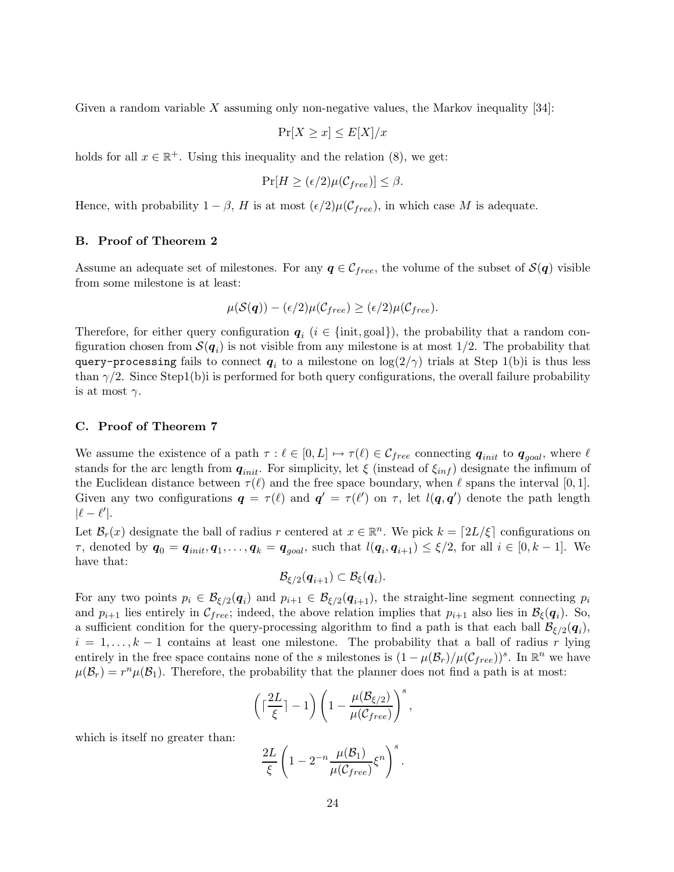Given a random variable  $X$  assuming only non-negative values, the Markov inequality  $[34]$ :

$$
\Pr[X \ge x] \le E[X]/x
$$

holds for all  $x \in \mathbb{R}^+$ . Using this inequality and the relation (8), we get:

$$
\Pr[H \ge (\epsilon/2)\mu(\mathcal{C}_{free})] \le \beta.
$$

Hence, with probability  $1 - \beta$ , H is at most  $(\epsilon/2)\mu(\mathcal{C}_{free})$ , in which case M is adequate.

#### B. Proof of Theorem 2

Assume an adequate set of milestones. For any  $q \in \mathcal{C}_{free}$ , the volume of the subset of  $\mathcal{S}(q)$  visible from some milestone is at least:

$$
\mu(\mathcal{S}(\boldsymbol{q})) - (\epsilon/2)\mu(\mathcal{C}_{free}) \ge (\epsilon/2)\mu(\mathcal{C}_{free}).
$$

Therefore, for either query configuration  $q_i$  ( $i \in \{\text{init}, \text{goal}\}\)$ , the probability that a random configuration chosen from  $\mathcal{S}(q_i)$  is not visible from any milestone is at most 1/2. The probability that <code>query-processing</code> fails to connect  $\bm{q}_i$  to a milestone on log(2/ $\gamma$ ) trials at Step 1(b)i is thus less than  $\gamma/2$ . Since Step1(b)i is performed for both query configurations, the overall failure probability is at most  $\gamma$ .

#### C. Proof of Theorem 7

We assume the existence of a path  $\tau : \ell \in [0, L] \mapsto \tau(\ell) \in \mathcal{C}_{free}$  connecting  $q_{init}$  to  $q_{goal}$ , where  $\ell$ stands for the arc length from  $q_{init}$ . For simplicity, let  $\xi$  (instead of  $\xi_{inf}$ ) designate the infimum of the Euclidean distance between  $\tau(\ell)$  and the free space boundary, when  $\ell$  spans the interval [0, 1]. Given any two configurations  $q = \tau(\ell)$  and  $q' = \tau(\ell')$  on  $\tau$ , let  $l(q, q')$  denote the path length  $|\ell - \ell'|$ .

Let  $\mathcal{B}_r(x)$  designate the ball of radius r centered at  $x \in \mathbb{R}^n$ . We pick  $k = \lfloor 2L/\xi \rfloor$  configurations on  $\tau$ , denoted by  $q_0 = q_{init}, q_1, \ldots, q_k = q_{goal}$ , such that  $l(q_i, q_{i+1}) \leq \xi/2$ , for all  $i \in [0, k-1]$ . We have that:

$$
\mathcal{B}_{\xi/2}(\boldsymbol{q}_{i+1})\subset \mathcal{B}_{\xi}(\boldsymbol{q}_{i}).
$$

For any two points  $p_i \in \mathcal{B}_{\xi/2}(q_i)$  and  $p_{i+1} \in \mathcal{B}_{\xi/2}(q_{i+1})$ , the straight-line segment connecting  $p_i$ and  $p_{i+1}$  lies entirely in  $\mathcal{C}_{free}$ ; indeed, the above relation implies that  $p_{i+1}$  also lies in  $\mathcal{B}_{\xi}(q_i)$ . So, a sufficient condition for the query-processing algorithm to find a path is that each ball  $\mathcal{B}_{\xi/2}(q_i)$ ,  $i = 1, \ldots, k-1$  contains at least one milestone. The probability that a ball of radius r lying entirely in the free space contains none of the s milestones is  $(1 - \mu(\mathcal{B}_r)/\mu(\mathcal{C}_{free}))^s$ . In  $\mathbb{R}^n$  we have  $\mu(\mathcal{B}_r) = r^n \mu(\mathcal{B}_1)$ . Therefore, the probability that the planner does not find a path is at most:

$$
\left(\lceil \frac{2L}{\xi} \rceil - 1\right) \left(1 - \frac{\mu(\mathcal{B}_{\xi/2})}{\mu(\mathcal{C}_{free})}\right)^s,
$$

which is itself no greater than:

$$
\frac{2L}{\xi}\left(1-2^{-n}\frac{\mu(\mathcal{B}_1)}{\mu(\mathcal{C}_{free})}\xi^n\right)^s.
$$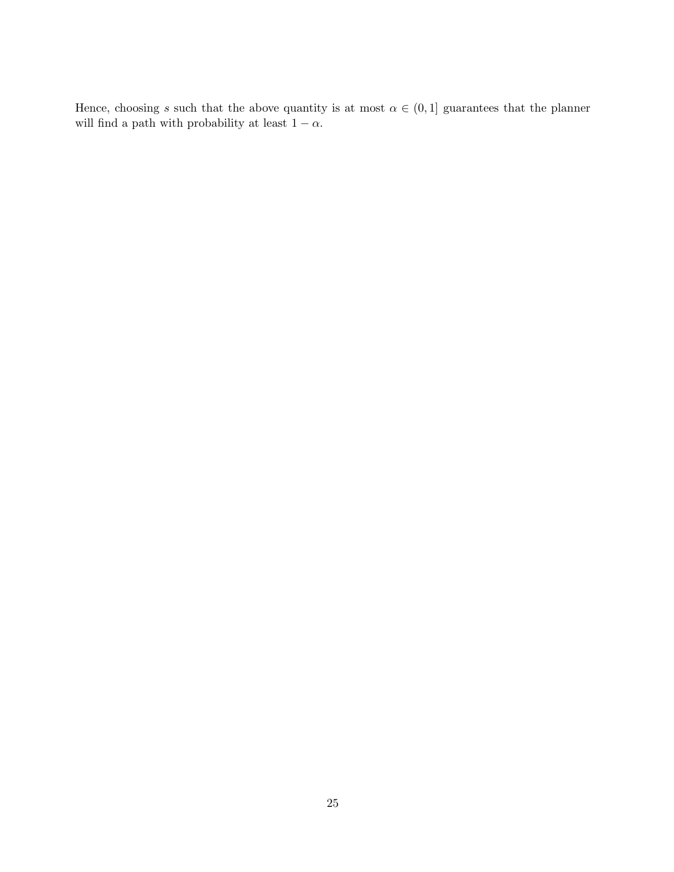Hence, choosing s such that the above quantity is at most  $\alpha \in (0,1]$  guarantees that the planner will find a path with probability at least  $1-\alpha.$